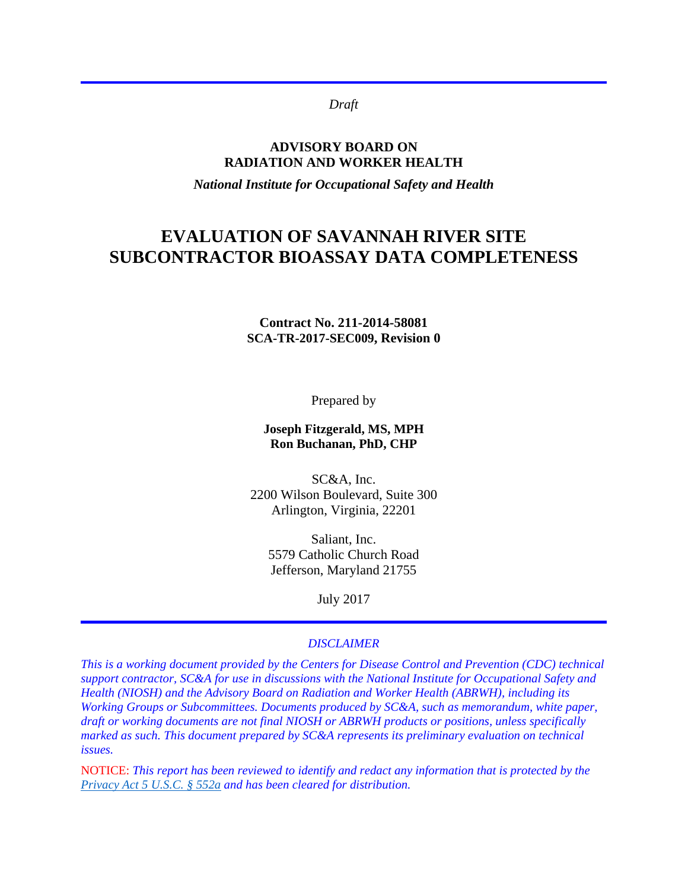*Draft*

### **ADVISORY BOARD ON RADIATION AND WORKER HEALTH**

*National Institute for Occupational Safety and Health*

# **EVALUATION OF SAVANNAH RIVER SITE SUBCONTRACTOR BIOASSAY DATA COMPLETENESS**

### **Contract No. 211-2014-58081 SCA-TR-2017-SEC009, Revision 0**

Prepared by

### **Joseph Fitzgerald, MS, MPH Ron Buchanan, PhD, CHP**

SC&A, Inc. 2200 Wilson Boulevard, Suite 300 Arlington, Virginia, 22201

Saliant, Inc. 5579 Catholic Church Road Jefferson, Maryland 21755

July 2017

### *DISCLAIMER*

*This is a working document provided by the Centers for Disease Control and Prevention (CDC) technical support contractor, SC&A for use in discussions with the National Institute for Occupational Safety and Health (NIOSH) and the Advisory Board on Radiation and Worker Health (ABRWH), including its Working Groups or Subcommittees. Documents produced by SC&A, such as memorandum, white paper, draft or working documents are not final NIOSH or ABRWH products or positions, unless specifically marked as such. This document prepared by SC&A represents its preliminary evaluation on technical issues.*

NOTICE: *This report has been reviewed to identify and redact any information that is protected by the [Privacy Act 5 U.S.C. § 552a](http://www.justice.gov/opcl/privacy-act-1974) and has been cleared for distribution.*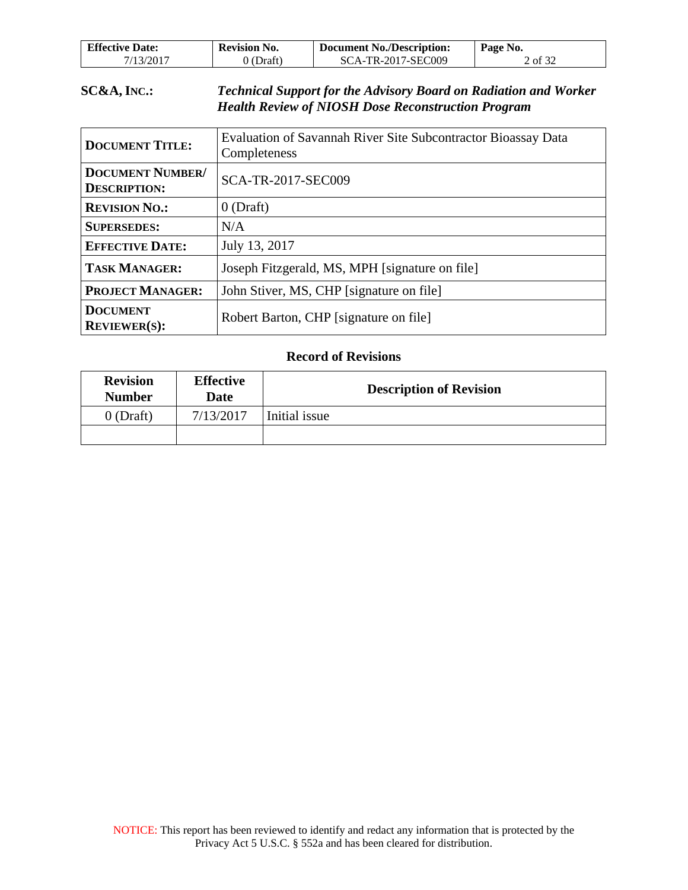| <b>Effective Date:</b> | <b>Revision No.</b> | <b>Document No./Description:</b> | Page No. |
|------------------------|---------------------|----------------------------------|----------|
| 7/13/2017              | (Draft)             | SCA-TR-2017-SEC009               | 2 of 32  |

### **SC&A, INC.:** *Technical Support for the Advisory Board on Radiation and Worker Health Review of NIOSH Dose Reconstruction Program*

| <b>DOCUMENT TITLE:</b>                         | Evaluation of Savannah River Site Subcontractor Bioassay Data<br>Completeness |
|------------------------------------------------|-------------------------------------------------------------------------------|
| <b>DOCUMENT NUMBER/</b><br><b>DESCRIPTION:</b> | <b>SCA-TR-2017-SEC009</b>                                                     |
| <b>REVISION NO.:</b>                           | $0$ (Draft)                                                                   |
| <b>SUPERSEDES:</b>                             | N/A                                                                           |
| <b>EFFECTIVE DATE:</b>                         | July 13, 2017                                                                 |
| <b>TASK MANAGER:</b>                           | Joseph Fitzgerald, MS, MPH [signature on file]                                |
| <b>PROJECT MANAGER:</b>                        | John Stiver, MS, CHP [signature on file]                                      |
| <b>DOCUMENT</b><br><b>REVIEWER(S):</b>         | Robert Barton, CHP [signature on file]                                        |

### **Record of Revisions**

| <b>Revision</b><br><b>Number</b> | <b>Effective</b><br>Date | <b>Description of Revision</b> |
|----------------------------------|--------------------------|--------------------------------|
| $0$ (Draft)                      | 7/13/2017                | Initial issue                  |
|                                  |                          |                                |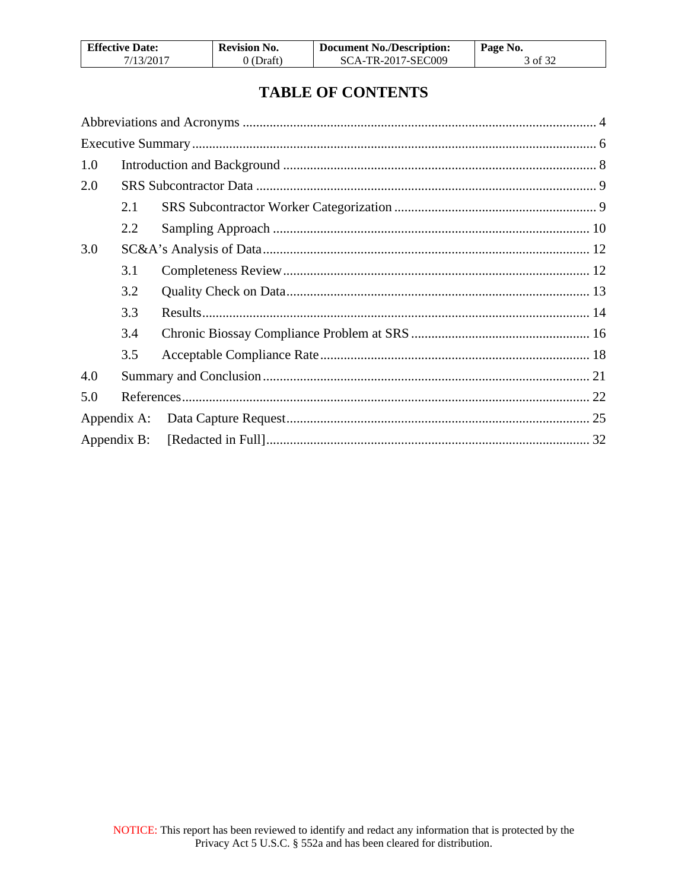| <b>Effective Date:</b> | <b>Revision No.</b> | <b>Document No./Description:</b> | Page No. |
|------------------------|---------------------|----------------------------------|----------|
| 7/13/2017              | 0 (Draft)           | SCA-TR-2017-SEC009               | 3 of 32  |

# **TABLE OF CONTENTS**

| 1.0         |     |  |
|-------------|-----|--|
| 2.0         |     |  |
|             | 2.1 |  |
|             | 2.2 |  |
| 3.0         |     |  |
|             | 3.1 |  |
|             | 3.2 |  |
|             | 3.3 |  |
|             | 3.4 |  |
|             | 3.5 |  |
| 4.0         |     |  |
| 5.0         |     |  |
| Appendix A: |     |  |
|             |     |  |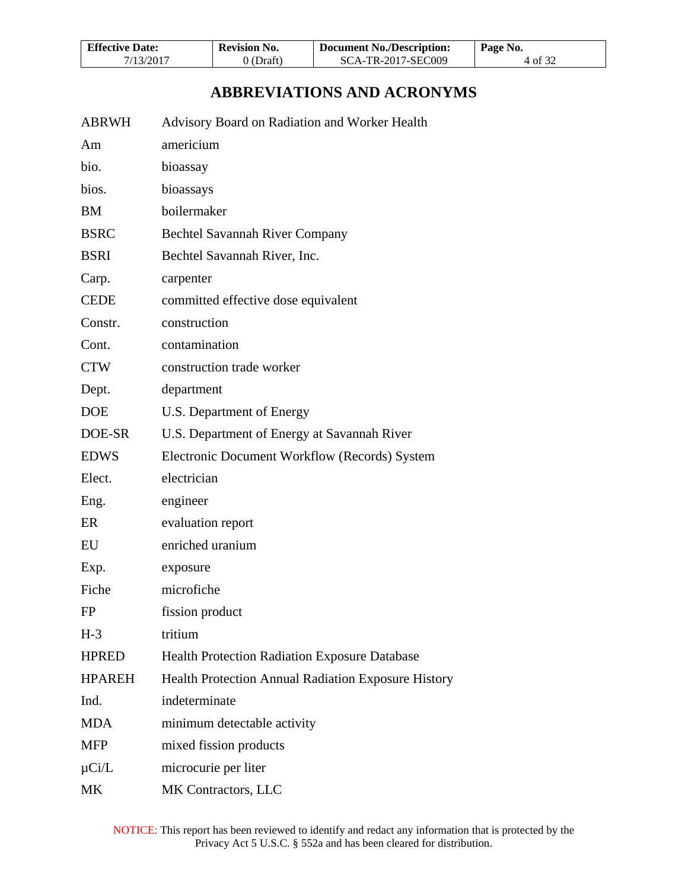| <b>Effective Date:</b> | <b>Revision No.</b> | <b>Document No./Description:</b> | Page No. |
|------------------------|---------------------|----------------------------------|----------|
| 7/13/2017              | 0 (Draft)           | SCA-TR-2017-SEC009               | 4 of 32  |

# **ABBREVIATIONS AND ACRONYMS**

<span id="page-3-0"></span>

| ABRWH | Advisory Board on Radiation and Worker Health |  |
|-------|-----------------------------------------------|--|
|       |                                               |  |

| Am            | americium                                            |
|---------------|------------------------------------------------------|
| bio.          | bioassay                                             |
| bios.         | bioassays                                            |
| <b>BM</b>     | boilermaker                                          |
| <b>BSRC</b>   | <b>Bechtel Savannah River Company</b>                |
| <b>BSRI</b>   | Bechtel Savannah River, Inc.                         |
| Carp.         | carpenter                                            |
| <b>CEDE</b>   | committed effective dose equivalent                  |
| Constr.       | construction                                         |
| Cont.         | contamination                                        |
| <b>CTW</b>    | construction trade worker                            |
| Dept.         | department                                           |
| <b>DOE</b>    | U.S. Department of Energy                            |
| DOE-SR        | U.S. Department of Energy at Savannah River          |
| <b>EDWS</b>   | Electronic Document Workflow (Records) System        |
| Elect.        | electrician                                          |
| Eng.          | engineer                                             |
| ER            | evaluation report                                    |
| EU            | enriched uranium                                     |
| Exp.          | exposure                                             |
| Fiche         | microfiche                                           |
| FP            | fission product                                      |
| $H-3$         | tritium                                              |
| <b>HPRED</b>  | <b>Health Protection Radiation Exposure Database</b> |
| <b>HPAREH</b> | Health Protection Annual Radiation Exposure History  |
| Ind.          | indeterminate                                        |
| <b>MDA</b>    | minimum detectable activity                          |
| <b>MFP</b>    | mixed fission products                               |
| $\mu$ Ci/L    | microcurie per liter                                 |
| MK            | MK Contractors, LLC                                  |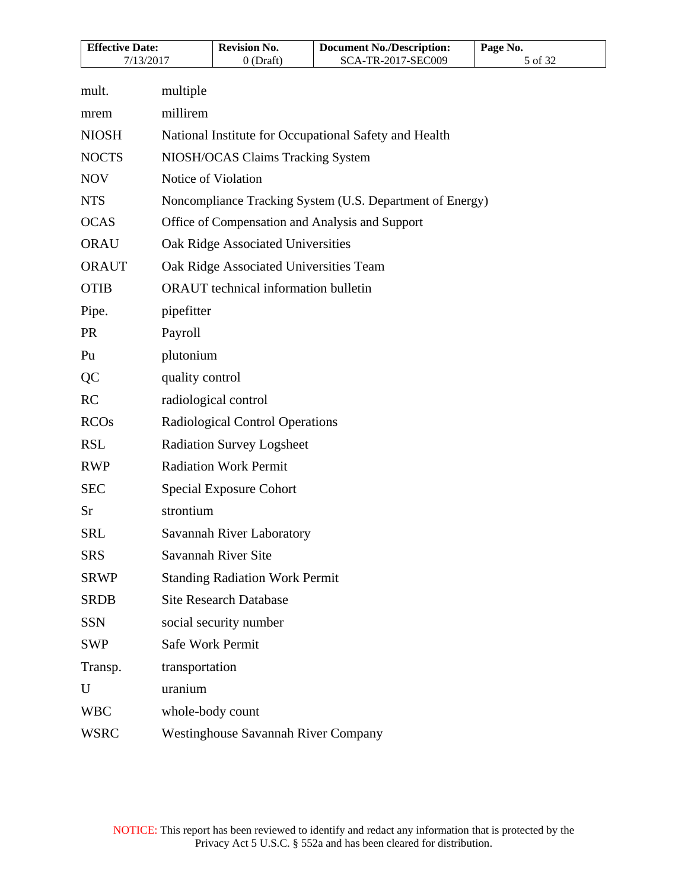| <b>Effective Date:</b><br>7/13/2017 |                     | <b>Revision No.</b>                         | <b>Document No./Description:</b><br>SCA-TR-2017-SEC009    | Page No. |
|-------------------------------------|---------------------|---------------------------------------------|-----------------------------------------------------------|----------|
|                                     |                     | $0$ (Draft)                                 |                                                           | 5 of 32  |
| mult.                               | multiple            |                                             |                                                           |          |
| mrem                                | millirem            |                                             |                                                           |          |
| <b>NIOSH</b>                        |                     |                                             | National Institute for Occupational Safety and Health     |          |
| <b>NOCTS</b>                        |                     | NIOSH/OCAS Claims Tracking System           |                                                           |          |
| <b>NOV</b>                          | Notice of Violation |                                             |                                                           |          |
| <b>NTS</b>                          |                     |                                             | Noncompliance Tracking System (U.S. Department of Energy) |          |
| <b>OCAS</b>                         |                     |                                             | Office of Compensation and Analysis and Support           |          |
| <b>ORAU</b>                         |                     | Oak Ridge Associated Universities           |                                                           |          |
| <b>ORAUT</b>                        |                     | Oak Ridge Associated Universities Team      |                                                           |          |
| <b>OTIB</b>                         |                     | <b>ORAUT</b> technical information bulletin |                                                           |          |
| Pipe.                               | pipefitter          |                                             |                                                           |          |
| <b>PR</b>                           | Payroll             |                                             |                                                           |          |
| Pu                                  | plutonium           |                                             |                                                           |          |
| QC                                  | quality control     |                                             |                                                           |          |
| <b>RC</b>                           |                     | radiological control                        |                                                           |          |
| <b>RCOs</b>                         |                     | Radiological Control Operations             |                                                           |          |
| <b>RSL</b>                          |                     | <b>Radiation Survey Logsheet</b>            |                                                           |          |
| <b>RWP</b>                          |                     | <b>Radiation Work Permit</b>                |                                                           |          |
| <b>SEC</b>                          |                     | <b>Special Exposure Cohort</b>              |                                                           |          |
| Sr                                  | strontium           |                                             |                                                           |          |
| <b>SRL</b>                          |                     | Savannah River Laboratory                   |                                                           |          |
| <b>SRS</b>                          |                     | Savannah River Site                         |                                                           |          |
| <b>SRWP</b>                         |                     | <b>Standing Radiation Work Permit</b>       |                                                           |          |
| <b>SRDB</b>                         |                     | <b>Site Research Database</b>               |                                                           |          |
| <b>SSN</b>                          |                     | social security number                      |                                                           |          |
| <b>SWP</b>                          | Safe Work Permit    |                                             |                                                           |          |
| Transp.                             | transportation      |                                             |                                                           |          |
| U                                   | uranium             |                                             |                                                           |          |
| <b>WBC</b>                          | whole-body count    |                                             |                                                           |          |
| <b>WSRC</b>                         |                     | <b>Westinghouse Savannah River Company</b>  |                                                           |          |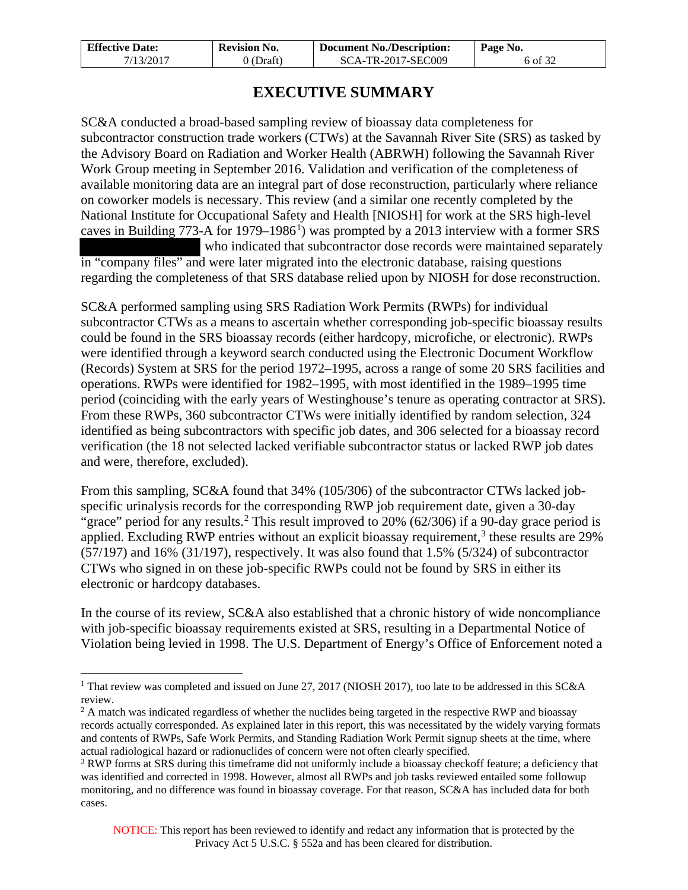| <b>Effective Date:</b> | <b>Revision No.</b> | <b>Document No./Description:</b> | Page No. |
|------------------------|---------------------|----------------------------------|----------|
| 7/13/2017              | ) (Draft)           | SCA-TR-2017-SEC009               | 6 of 32  |

## **EXECUTIVE SUMMARY**

<span id="page-5-0"></span>SC&A conducted a broad-based sampling review of bioassay data completeness for subcontractor construction trade workers (CTWs) at the Savannah River Site (SRS) as tasked by the Advisory Board on Radiation and Worker Health (ABRWH) following the Savannah River Work Group meeting in September 2016. Validation and verification of the completeness of available monitoring data are an integral part of dose reconstruction, particularly where reliance on coworker models is necessary. This review (and a similar one recently completed by the National Institute for Occupational Safety and Health [NIOSH] for work at the SRS high-level caves in Building  $773$ -A for [1](#page-5-1)979–1986<sup>1</sup>) was prompted by a 2013 interview with a former SRS who indicated that subcontractor dose records were maintained separately in "company files" and were later migrated into the electronic database, raising questions regarding the completeness of that SRS database relied upon by NIOSH for dose reconstruction.

SC&A performed sampling using SRS Radiation Work Permits (RWPs) for individual subcontractor CTWs as a means to ascertain whether corresponding job-specific bioassay results could be found in the SRS bioassay records (either hardcopy, microfiche, or electronic). RWPs were identified through a keyword search conducted using the Electronic Document Workflow (Records) System at SRS for the period 1972–1995, across a range of some 20 SRS facilities and operations. RWPs were identified for 1982–1995, with most identified in the 1989–1995 time period (coinciding with the early years of Westinghouse's tenure as operating contractor at SRS). From these RWPs, 360 subcontractor CTWs were initially identified by random selection, 324 identified as being subcontractors with specific job dates, and 306 selected for a bioassay record verification (the 18 not selected lacked verifiable subcontractor status or lacked RWP job dates and were, therefore, excluded).

From this sampling, SC&A found that 34% (105/306) of the subcontractor CTWs lacked jobspecific urinalysis records for the corresponding RWP job requirement date, given a 30-day "grace" period for any results.<sup>[2](#page-5-2)</sup> This result improved to 20% (62/306) if a 90-day grace period is applied. Excluding RWP entries without an explicit bioassay requirement,<sup>[3](#page-5-3)</sup> these results are  $29\%$ (57/197) and 16% (31/197), respectively. It was also found that 1.5% (5/324) of subcontractor CTWs who signed in on these job-specific RWPs could not be found by SRS in either its electronic or hardcopy databases.

In the course of its review, SC&A also established that a chronic history of wide noncompliance with job-specific bioassay requirements existed at SRS, resulting in a Departmental Notice of Violation being levied in 1998. The U.S. Department of Energy's Office of Enforcement noted a

 $\overline{a}$ 

<span id="page-5-1"></span><sup>&</sup>lt;sup>1</sup> That review was completed and issued on June 27, 2017 (NIOSH 2017), too late to be addressed in this SC&A review.

<span id="page-5-2"></span><sup>&</sup>lt;sup>2</sup> A match was indicated regardless of whether the nuclides being targeted in the respective RWP and bioassay records actually corresponded. As explained later in this report, this was necessitated by the widely varying formats and contents of RWPs, Safe Work Permits, and Standing Radiation Work Permit signup sheets at the time, where actual radiological hazard or radionuclides of concern were not often clearly specified.

<span id="page-5-3"></span><sup>&</sup>lt;sup>3</sup> RWP forms at SRS during this timeframe did not uniformly include a bioassay checkoff feature; a deficiency that was identified and corrected in 1998. However, almost all RWPs and job tasks reviewed entailed some followup monitoring, and no difference was found in bioassay coverage. For that reason, SC&A has included data for both cases.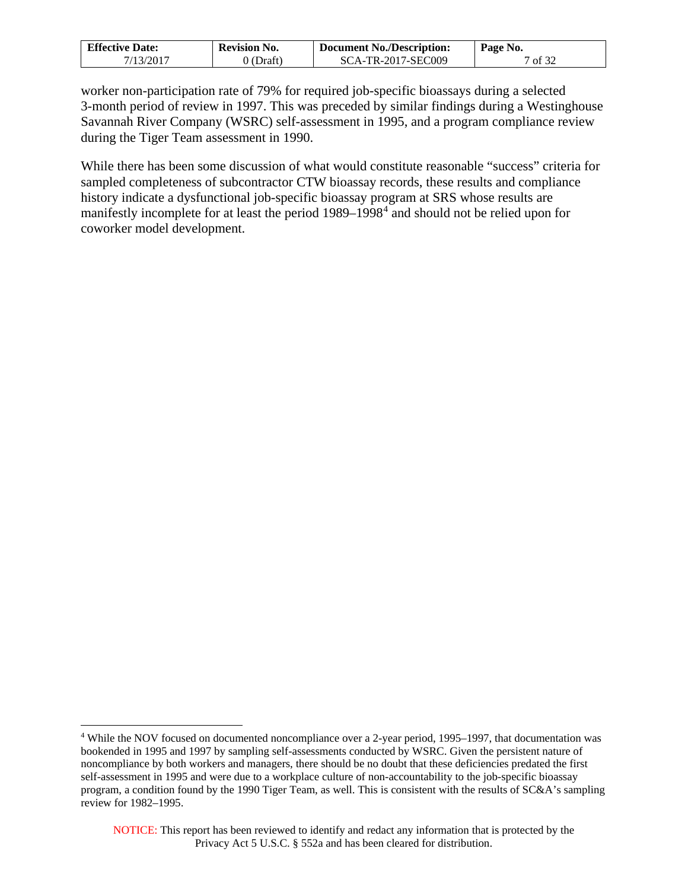| <b>Effective Date:</b> | <b>Revision No.</b> | <b>Document No./Description:</b> | Page No. |
|------------------------|---------------------|----------------------------------|----------|
| 7/13/2017              | 0 (Draft)           | SCA-TR-2017-SEC009               | 7 of 32  |

worker non-participation rate of 79% for required job-specific bioassays during a selected 3-month period of review in 1997. This was preceded by similar findings during a Westinghouse Savannah River Company (WSRC) self-assessment in 1995, and a program compliance review during the Tiger Team assessment in 1990.

While there has been some discussion of what would constitute reasonable "success" criteria for sampled completeness of subcontractor CTW bioassay records, these results and compliance history indicate a dysfunctional job-specific bioassay program at SRS whose results are manifestly incomplete for at least the period 1989–1998<sup>[4](#page-6-0)</sup> and should not be relied upon for coworker model development.

 $\overline{a}$ 

<span id="page-6-0"></span><sup>&</sup>lt;sup>4</sup> While the NOV focused on documented noncompliance over a 2-year period, 1995–1997, that documentation was bookended in 1995 and 1997 by sampling self-assessments conducted by WSRC. Given the persistent nature of noncompliance by both workers and managers, there should be no doubt that these deficiencies predated the first self-assessment in 1995 and were due to a workplace culture of non-accountability to the job-specific bioassay program, a condition found by the 1990 Tiger Team, as well. This is consistent with the results of SC&A's sampling review for 1982–1995.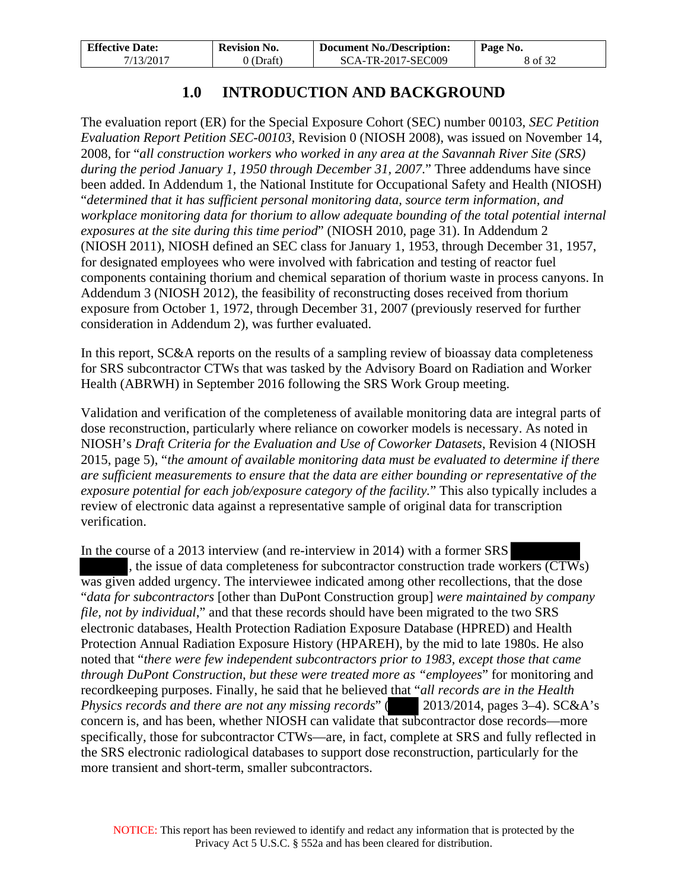| <b>Effective Date:</b> | <b>Revision No.</b> | <b>Document No./Description:</b> | Page No. |
|------------------------|---------------------|----------------------------------|----------|
| 7/13/2017              | 0 (Draft)           | SCA-TR-2017-SEC009               | 8 of 32  |

# **1.0 INTRODUCTION AND BACKGROUND**

<span id="page-7-0"></span>The evaluation report (ER) for the Special Exposure Cohort (SEC) number 00103, *SEC Petition Evaluation Report Petition SEC-00103*, Revision 0 (NIOSH 2008), was issued on November 14, 2008, for "*all construction workers who worked in any area at the Savannah River Site (SRS) during the period January 1, 1950 through December 31, 2007*." Three addendums have since been added. In Addendum 1, the National Institute for Occupational Safety and Health (NIOSH) "*determined that it has sufficient personal monitoring data, source term information, and workplace monitoring data for thorium to allow adequate bounding of the total potential internal exposures at the site during this time period*" (NIOSH 2010, page 31). In Addendum 2 (NIOSH 2011), NIOSH defined an SEC class for January 1, 1953, through December 31, 1957, for designated employees who were involved with fabrication and testing of reactor fuel components containing thorium and chemical separation of thorium waste in process canyons. In Addendum 3 (NIOSH 2012), the feasibility of reconstructing doses received from thorium exposure from October 1, 1972, through December 31, 2007 (previously reserved for further consideration in Addendum 2), was further evaluated.

In this report, SC&A reports on the results of a sampling review of bioassay data completeness for SRS subcontractor CTWs that was tasked by the Advisory Board on Radiation and Worker Health (ABRWH) in September 2016 following the SRS Work Group meeting.

Validation and verification of the completeness of available monitoring data are integral parts of dose reconstruction, particularly where reliance on coworker models is necessary. As noted in NIOSH's *Draft Criteria for the Evaluation and Use of Coworker Datasets*, Revision 4 (NIOSH 2015, page 5), "*the amount of available monitoring data must be evaluated to determine if there are sufficient measurements to ensure that the data are either bounding or representative of the exposure potential for each job/exposure category of the facility.*" This also typically includes a review of electronic data against a representative sample of original data for transcription verification.

In the course of a 2013 interview (and re-interview in 2014) with a former SRS , the issue of data completeness for subcontractor construction trade workers (CTWs) was given added urgency. The interviewee indicated among other recollections, that the dose "*data for subcontractors* [other than DuPont Construction group] *were maintained by company file, not by individual*," and that these records should have been migrated to the two SRS electronic databases, Health Protection Radiation Exposure Database (HPRED) and Health Protection Annual Radiation Exposure History (HPAREH), by the mid to late 1980s. He also noted that "*there were few independent subcontractors prior to 1983, except those that came through DuPont Construction, but these were treated more as "employees*" for monitoring and recordkeeping purposes. Finally, he said that he believed that "*all records are in the Health Physics records and there are not any missing records*" (2013/2014, pages 3–4). SC&A's concern is, and has been, whether NIOSH can validate that subcontractor dose records—more specifically, those for subcontractor CTWs—are, in fact, complete at SRS and fully reflected in the SRS electronic radiological databases to support dose reconstruction, particularly for the more transient and short-term, smaller subcontractors.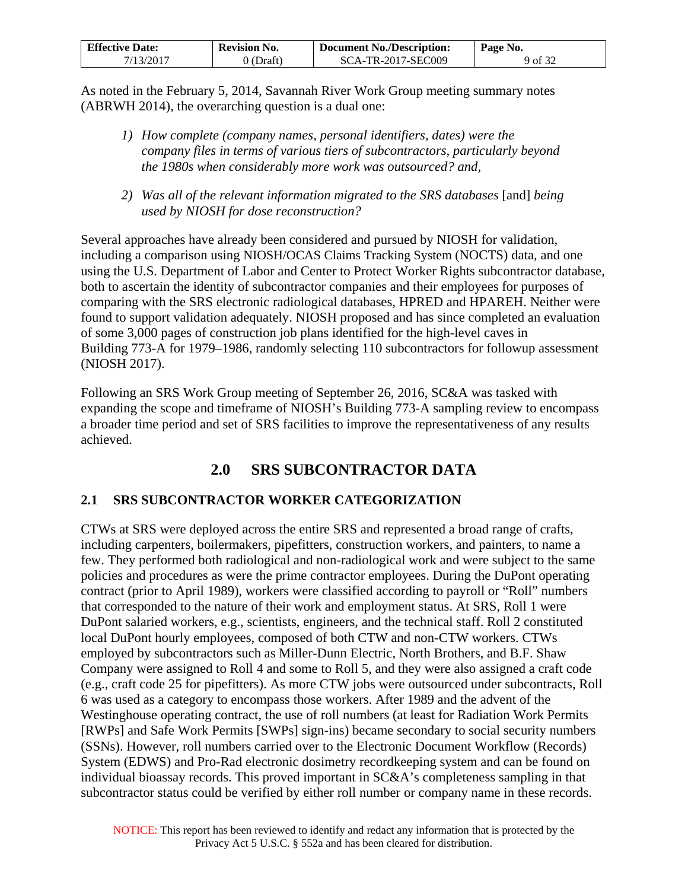| <b>Effective Date:</b> | <b>Revision No.</b> | <b>Document No./Description:</b> | Page No. |
|------------------------|---------------------|----------------------------------|----------|
| 7/13/2017              | $0$ (Draft)         | SCA-TR-2017-SEC009               | 9 of 32  |

As noted in the February 5, 2014, Savannah River Work Group meeting summary notes (ABRWH 2014), the overarching question is a dual one:

- *1) How complete (company names, personal identifiers, dates) were the company files in terms of various tiers of subcontractors, particularly beyond the 1980s when considerably more work was outsourced? and,*
- *2) Was all of the relevant information migrated to the SRS databases* [and] *being used by NIOSH for dose reconstruction?*

Several approaches have already been considered and pursued by NIOSH for validation, including a comparison using NIOSH/OCAS Claims Tracking System (NOCTS) data, and one using the U.S. Department of Labor and Center to Protect Worker Rights subcontractor database, both to ascertain the identity of subcontractor companies and their employees for purposes of comparing with the SRS electronic radiological databases, HPRED and HPAREH. Neither were found to support validation adequately. NIOSH proposed and has since completed an evaluation of some 3,000 pages of construction job plans identified for the high-level caves in Building 773-A for 1979–1986, randomly selecting 110 subcontractors for followup assessment (NIOSH 2017).

Following an SRS Work Group meeting of September 26, 2016, SC&A was tasked with expanding the scope and timeframe of NIOSH's Building 773-A sampling review to encompass a broader time period and set of SRS facilities to improve the representativeness of any results achieved.

# **2.0 SRS SUBCONTRACTOR DATA**

## <span id="page-8-1"></span><span id="page-8-0"></span>**2.1 SRS SUBCONTRACTOR WORKER CATEGORIZATION**

CTWs at SRS were deployed across the entire SRS and represented a broad range of crafts, including carpenters, boilermakers, pipefitters, construction workers, and painters, to name a few. They performed both radiological and non-radiological work and were subject to the same policies and procedures as were the prime contractor employees. During the DuPont operating contract (prior to April 1989), workers were classified according to payroll or "Roll" numbers that corresponded to the nature of their work and employment status. At SRS, Roll 1 were DuPont salaried workers, e.g., scientists, engineers, and the technical staff. Roll 2 constituted local DuPont hourly employees, composed of both CTW and non-CTW workers. CTWs employed by subcontractors such as Miller-Dunn Electric, North Brothers, and B.F. Shaw Company were assigned to Roll 4 and some to Roll 5, and they were also assigned a craft code (e.g., craft code 25 for pipefitters). As more CTW jobs were outsourced under subcontracts, Roll 6 was used as a category to encompass those workers. After 1989 and the advent of the Westinghouse operating contract, the use of roll numbers (at least for Radiation Work Permits [RWPs] and Safe Work Permits [SWPs] sign-ins) became secondary to social security numbers (SSNs). However, roll numbers carried over to the Electronic Document Workflow (Records) System (EDWS) and Pro-Rad electronic dosimetry recordkeeping system and can be found on individual bioassay records. This proved important in SC&A's completeness sampling in that subcontractor status could be verified by either roll number or company name in these records.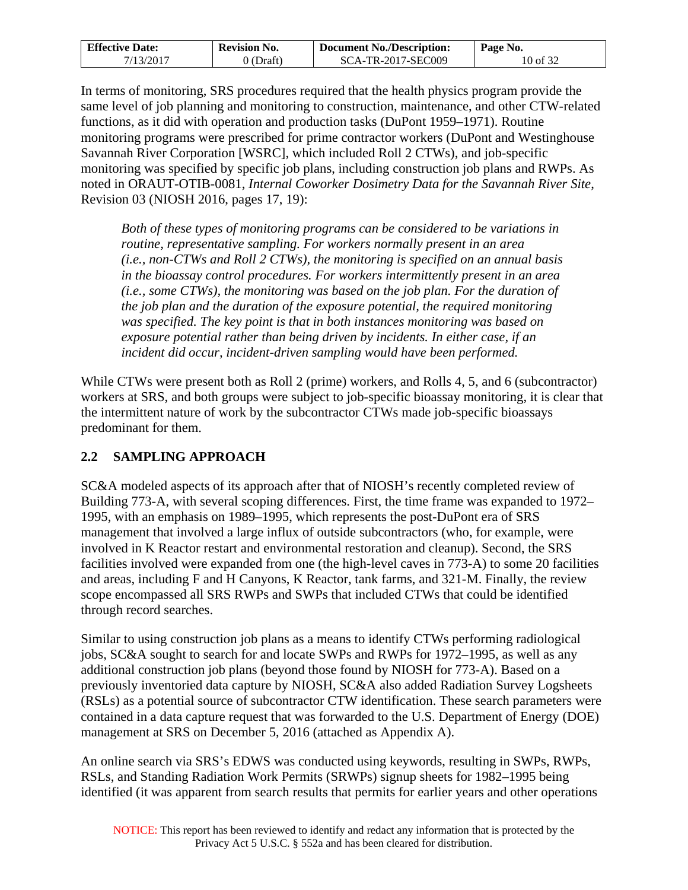| <b>Effective Date:</b> | <b>Revision No.</b> | <b>Document No./Description:</b> | Page No. |
|------------------------|---------------------|----------------------------------|----------|
| 7/13/2017              | 0 (Draft)           | SCA-TR-2017-SEC009               | 10 of 32 |

In terms of monitoring, SRS procedures required that the health physics program provide the same level of job planning and monitoring to construction, maintenance, and other CTW-related functions, as it did with operation and production tasks (DuPont 1959–1971). Routine monitoring programs were prescribed for prime contractor workers (DuPont and Westinghouse Savannah River Corporation [WSRC], which included Roll 2 CTWs), and job-specific monitoring was specified by specific job plans, including construction job plans and RWPs. As noted in ORAUT-OTIB-0081, *Internal Coworker Dosimetry Data for the Savannah River Site*, Revision 03 (NIOSH 2016, pages 17, 19):

*Both of these types of monitoring programs can be considered to be variations in routine, representative sampling. For workers normally present in an area (i.e., non-CTWs and Roll 2 CTWs), the monitoring is specified on an annual basis in the bioassay control procedures. For workers intermittently present in an area (i.e., some CTWs), the monitoring was based on the job plan. For the duration of the job plan and the duration of the exposure potential, the required monitoring was specified. The key point is that in both instances monitoring was based on exposure potential rather than being driven by incidents. In either case, if an incident did occur, incident-driven sampling would have been performed.* 

While CTWs were present both as Roll 2 (prime) workers, and Rolls 4, 5, and 6 (subcontractor) workers at SRS, and both groups were subject to job-specific bioassay monitoring, it is clear that the intermittent nature of work by the subcontractor CTWs made job-specific bioassays predominant for them.

## <span id="page-9-0"></span>**2.2 SAMPLING APPROACH**

SC&A modeled aspects of its approach after that of NIOSH's recently completed review of Building 773-A, with several scoping differences. First, the time frame was expanded to 1972– 1995, with an emphasis on 1989–1995, which represents the post-DuPont era of SRS management that involved a large influx of outside subcontractors (who, for example, were involved in K Reactor restart and environmental restoration and cleanup). Second, the SRS facilities involved were expanded from one (the high-level caves in 773-A) to some 20 facilities and areas, including F and H Canyons, K Reactor, tank farms, and 321-M. Finally, the review scope encompassed all SRS RWPs and SWPs that included CTWs that could be identified through record searches.

Similar to using construction job plans as a means to identify CTWs performing radiological jobs, SC&A sought to search for and locate SWPs and RWPs for 1972–1995, as well as any additional construction job plans (beyond those found by NIOSH for 773-A). Based on a previously inventoried data capture by NIOSH, SC&A also added Radiation Survey Logsheets (RSLs) as a potential source of subcontractor CTW identification. These search parameters were contained in a data capture request that was forwarded to the U.S. Department of Energy (DOE) management at SRS on December 5, 2016 (attached as Appendix A).

An online search via SRS's EDWS was conducted using keywords, resulting in SWPs, RWPs, RSLs, and Standing Radiation Work Permits (SRWPs) signup sheets for 1982–1995 being identified (it was apparent from search results that permits for earlier years and other operations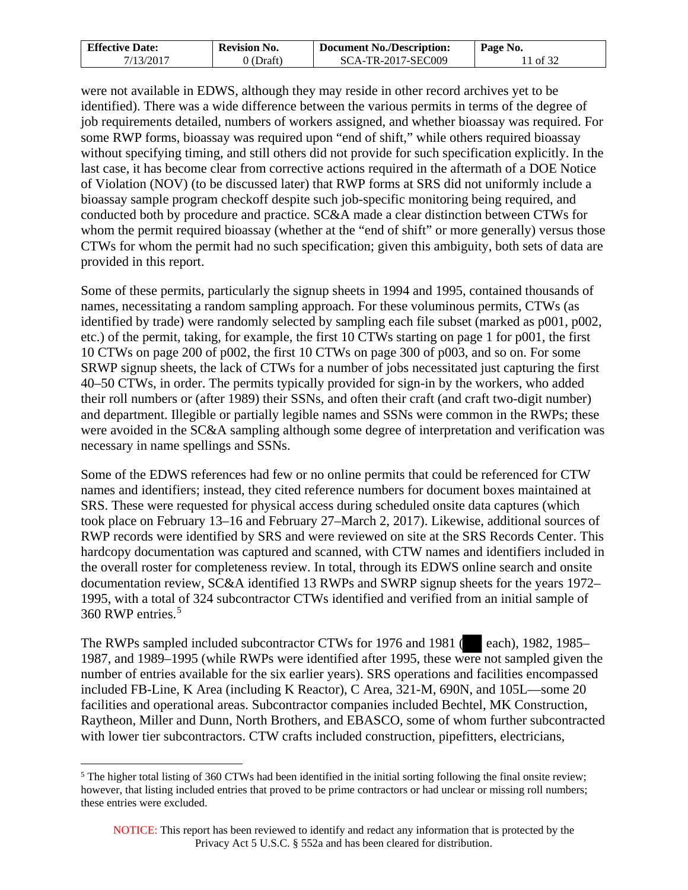| <b>Effective Date:</b> | <b>Revision No.</b> | <b>Document No./Description:</b> | Page No. |
|------------------------|---------------------|----------------------------------|----------|
| 7/13/2017              | 0 (Draft)           | SCA-TR-2017-SEC009               | 1 of 32  |

were not available in EDWS, although they may reside in other record archives yet to be identified). There was a wide difference between the various permits in terms of the degree of job requirements detailed, numbers of workers assigned, and whether bioassay was required. For some RWP forms, bioassay was required upon "end of shift," while others required bioassay without specifying timing, and still others did not provide for such specification explicitly. In the last case, it has become clear from corrective actions required in the aftermath of a DOE Notice of Violation (NOV) (to be discussed later) that RWP forms at SRS did not uniformly include a bioassay sample program checkoff despite such job-specific monitoring being required, and conducted both by procedure and practice. SC&A made a clear distinction between CTWs for whom the permit required bioassay (whether at the "end of shift" or more generally) versus those CTWs for whom the permit had no such specification; given this ambiguity, both sets of data are provided in this report.

Some of these permits, particularly the signup sheets in 1994 and 1995, contained thousands of names, necessitating a random sampling approach. For these voluminous permits, CTWs (as identified by trade) were randomly selected by sampling each file subset (marked as p001, p002, etc.) of the permit, taking, for example, the first 10 CTWs starting on page 1 for p001, the first 10 CTWs on page 200 of p002, the first 10 CTWs on page 300 of p003, and so on. For some SRWP signup sheets, the lack of CTWs for a number of jobs necessitated just capturing the first 40–50 CTWs, in order. The permits typically provided for sign-in by the workers, who added their roll numbers or (after 1989) their SSNs, and often their craft (and craft two-digit number) and department. Illegible or partially legible names and SSNs were common in the RWPs; these were avoided in the SC&A sampling although some degree of interpretation and verification was necessary in name spellings and SSNs.

Some of the EDWS references had few or no online permits that could be referenced for CTW names and identifiers; instead, they cited reference numbers for document boxes maintained at SRS. These were requested for physical access during scheduled onsite data captures (which took place on February 13–16 and February 27–March 2, 2017). Likewise, additional sources of RWP records were identified by SRS and were reviewed on site at the SRS Records Center. This hardcopy documentation was captured and scanned, with CTW names and identifiers included in the overall roster for completeness review. In total, through its EDWS online search and onsite documentation review, SC&A identified 13 RWPs and SWRP signup sheets for the years 1972– 1995, with a total of 324 subcontractor CTWs identified and verified from an initial sample of 360 RWP entries.[5](#page-10-0)

The RWPs sampled included subcontractor CTWs for 1976 and 1981 (each), 1982, 1985– 1987, and 1989–1995 (while RWPs were identified after 1995, these were not sampled given the number of entries available for the six earlier years). SRS operations and facilities encompassed included FB-Line, K Area (including K Reactor), C Area, 321-M, 690N, and 105L—some 20 facilities and operational areas. Subcontractor companies included Bechtel, MK Construction, Raytheon, Miller and Dunn, North Brothers, and EBASCO, some of whom further subcontracted with lower tier subcontractors. CTW crafts included construction, pipefitters, electricians,

 $\overline{a}$ 

<span id="page-10-0"></span><sup>&</sup>lt;sup>5</sup> The higher total listing of 360 CTWs had been identified in the initial sorting following the final onsite review; however, that listing included entries that proved to be prime contractors or had unclear or missing roll numbers; these entries were excluded.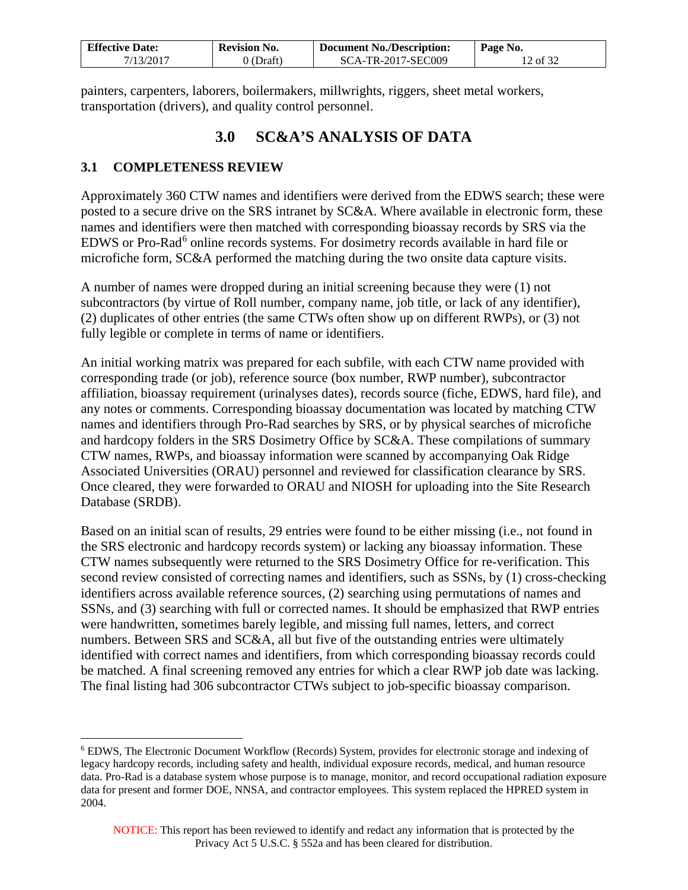| <b>Effective Date:</b> | <b>Revision No.</b> | <b>Document No./Description:</b> | Page No. |
|------------------------|---------------------|----------------------------------|----------|
| 7/13/2017              | $0$ (Draft)         | SCA-TR-2017-SEC009               | l2 of 32 |

painters, carpenters, laborers, boilermakers, millwrights, riggers, sheet metal workers, transportation (drivers), and quality control personnel.

# **3.0 SC&A'S ANALYSIS OF DATA**

## <span id="page-11-1"></span><span id="page-11-0"></span>**3.1 COMPLETENESS REVIEW**

 $\overline{a}$ 

Approximately 360 CTW names and identifiers were derived from the EDWS search; these were posted to a secure drive on the SRS intranet by SC&A. Where available in electronic form, these names and identifiers were then matched with corresponding bioassay records by SRS via the EDWS or Pro-Rad<sup>[6](#page-11-2)</sup> online records systems. For dosimetry records available in hard file or microfiche form, SC&A performed the matching during the two onsite data capture visits.

A number of names were dropped during an initial screening because they were (1) not subcontractors (by virtue of Roll number, company name, job title, or lack of any identifier), (2) duplicates of other entries (the same CTWs often show up on different RWPs), or (3) not fully legible or complete in terms of name or identifiers.

An initial working matrix was prepared for each subfile, with each CTW name provided with corresponding trade (or job), reference source (box number, RWP number), subcontractor affiliation, bioassay requirement (urinalyses dates), records source (fiche, EDWS, hard file), and any notes or comments. Corresponding bioassay documentation was located by matching CTW names and identifiers through Pro-Rad searches by SRS, or by physical searches of microfiche and hardcopy folders in the SRS Dosimetry Office by SC&A. These compilations of summary CTW names, RWPs, and bioassay information were scanned by accompanying Oak Ridge Associated Universities (ORAU) personnel and reviewed for classification clearance by SRS. Once cleared, they were forwarded to ORAU and NIOSH for uploading into the Site Research Database (SRDB).

Based on an initial scan of results, 29 entries were found to be either missing (i.e., not found in the SRS electronic and hardcopy records system) or lacking any bioassay information. These CTW names subsequently were returned to the SRS Dosimetry Office for re-verification. This second review consisted of correcting names and identifiers, such as SSNs, by (1) cross-checking identifiers across available reference sources, (2) searching using permutations of names and SSNs, and (3) searching with full or corrected names. It should be emphasized that RWP entries were handwritten, sometimes barely legible, and missing full names, letters, and correct numbers. Between SRS and SC&A, all but five of the outstanding entries were ultimately identified with correct names and identifiers, from which corresponding bioassay records could be matched. A final screening removed any entries for which a clear RWP job date was lacking. The final listing had 306 subcontractor CTWs subject to job-specific bioassay comparison.

<span id="page-11-2"></span><sup>6</sup> EDWS, The Electronic Document Workflow (Records) System, provides for electronic storage and indexing of legacy hardcopy records, including safety and health, individual exposure records, medical, and human resource data. Pro-Rad is a database system whose purpose is to manage, monitor, and record occupational radiation exposure data for present and former DOE, NNSA, and contractor employees. This system replaced the HPRED system in 2004.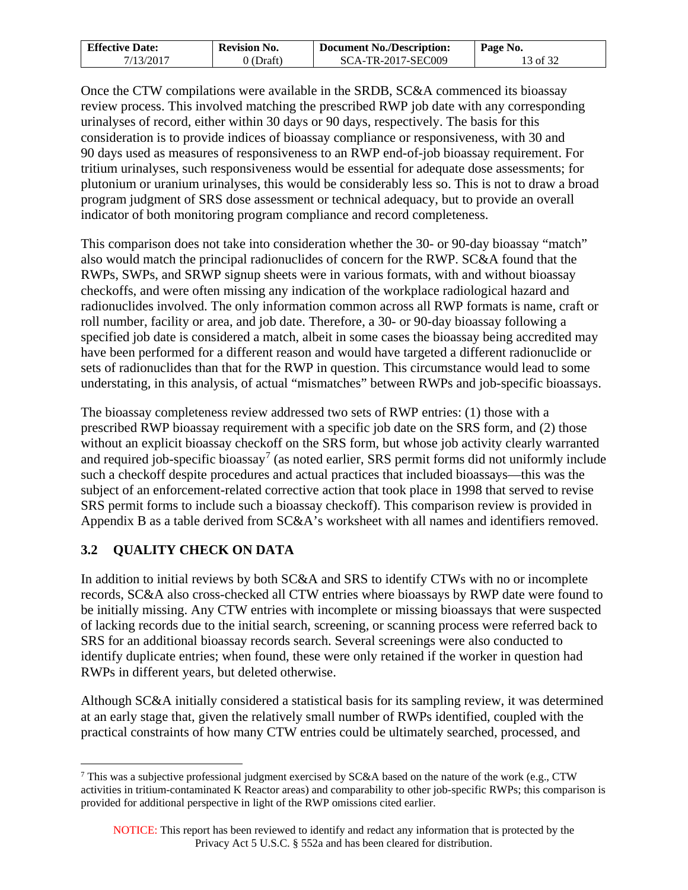| <b>Effective Date:</b> | <b>Revision No.</b> | <b>Document No./Description:</b> | Page No. |
|------------------------|---------------------|----------------------------------|----------|
| 7/13/2017              | (Draft)             | SCA-TR-2017-SEC009               | 13 of 32 |

Once the CTW compilations were available in the SRDB, SC&A commenced its bioassay review process. This involved matching the prescribed RWP job date with any corresponding urinalyses of record, either within 30 days or 90 days, respectively. The basis for this consideration is to provide indices of bioassay compliance or responsiveness, with 30 and 90 days used as measures of responsiveness to an RWP end-of-job bioassay requirement. For tritium urinalyses, such responsiveness would be essential for adequate dose assessments; for plutonium or uranium urinalyses, this would be considerably less so. This is not to draw a broad program judgment of SRS dose assessment or technical adequacy, but to provide an overall indicator of both monitoring program compliance and record completeness.

This comparison does not take into consideration whether the 30- or 90-day bioassay "match" also would match the principal radionuclides of concern for the RWP. SC&A found that the RWPs, SWPs, and SRWP signup sheets were in various formats, with and without bioassay checkoffs, and were often missing any indication of the workplace radiological hazard and radionuclides involved. The only information common across all RWP formats is name, craft or roll number, facility or area, and job date. Therefore, a 30- or 90-day bioassay following a specified job date is considered a match, albeit in some cases the bioassay being accredited may have been performed for a different reason and would have targeted a different radionuclide or sets of radionuclides than that for the RWP in question. This circumstance would lead to some understating, in this analysis, of actual "mismatches" between RWPs and job-specific bioassays.

The bioassay completeness review addressed two sets of RWP entries: (1) those with a prescribed RWP bioassay requirement with a specific job date on the SRS form, and (2) those without an explicit bioassay checkoff on the SRS form, but whose job activity clearly warranted and required job-specific bioassay<sup>[7](#page-12-1)</sup> (as noted earlier, SRS permit forms did not uniformly include such a checkoff despite procedures and actual practices that included bioassays—this was the subject of an enforcement-related corrective action that took place in 1998 that served to revise SRS permit forms to include such a bioassay checkoff). This comparison review is provided in Appendix B as a table derived from SC&A's worksheet with all names and identifiers removed.

## <span id="page-12-0"></span>**3.2 QUALITY CHECK ON DATA**

In addition to initial reviews by both SC&A and SRS to identify CTWs with no or incomplete records, SC&A also cross-checked all CTW entries where bioassays by RWP date were found to be initially missing. Any CTW entries with incomplete or missing bioassays that were suspected of lacking records due to the initial search, screening, or scanning process were referred back to SRS for an additional bioassay records search. Several screenings were also conducted to identify duplicate entries; when found, these were only retained if the worker in question had RWPs in different years, but deleted otherwise.

Although SC&A initially considered a statistical basis for its sampling review, it was determined at an early stage that, given the relatively small number of RWPs identified, coupled with the practical constraints of how many CTW entries could be ultimately searched, processed, and

<span id="page-12-1"></span><sup>&</sup>lt;sup>7</sup> This was a subjective professional judgment exercised by SC&A based on the nature of the work (e.g., CTW activities in tritium-contaminated K Reactor areas) and comparability to other job-specific RWPs; this comparison is provided for additional perspective in light of the RWP omissions cited earlier.  $\overline{a}$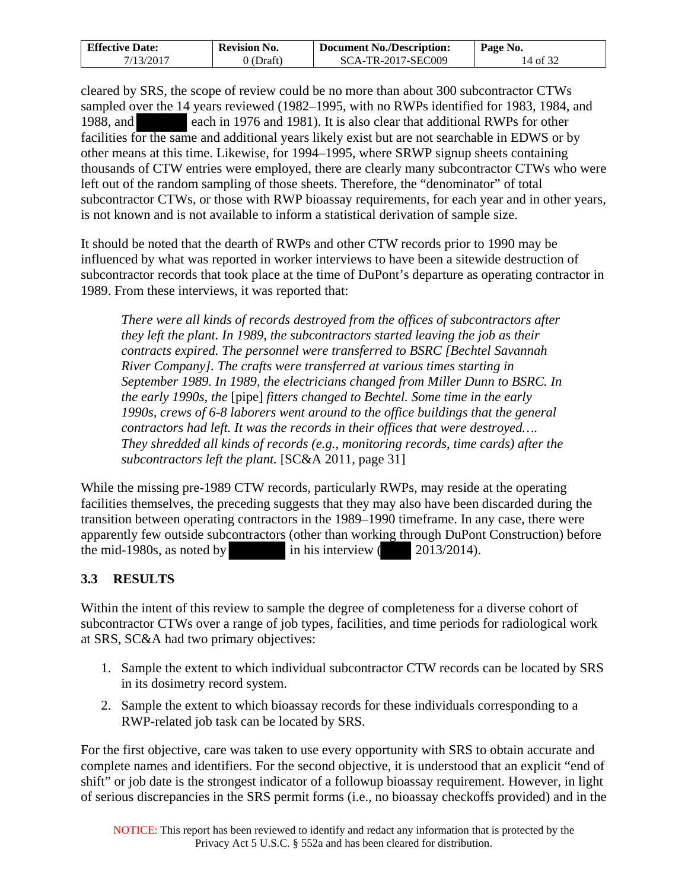| <b>Effective Date:</b> | <b>Revision No.</b> | <b>Document No./Description:</b> | Page No. |
|------------------------|---------------------|----------------------------------|----------|
| 7/13/2017              | ) (Draft)           | SCA-TR-2017-SEC009               | 14 of 32 |

cleared by SRS, the scope of review could be no more than about 300 subcontractor CTWs sampled over the 14 years reviewed (1982–1995, with no RWPs identified for 1983, 1984, and 1988, and each in 1976 and 1981). It is also clear that additional RWPs for other facilities for the same and additional years likely exist but are not searchable in EDWS or by other means at this time. Likewise, for 1994–1995, where SRWP signup sheets containing thousands of CTW entries were employed, there are clearly many subcontractor CTWs who were left out of the random sampling of those sheets. Therefore, the "denominator" of total subcontractor CTWs, or those with RWP bioassay requirements, for each year and in other years, is not known and is not available to inform a statistical derivation of sample size.

It should be noted that the dearth of RWPs and other CTW records prior to 1990 may be influenced by what was reported in worker interviews to have been a sitewide destruction of subcontractor records that took place at the time of DuPont's departure as operating contractor in 1989. From these interviews, it was reported that:

*There were all kinds of records destroyed from the offices of subcontractors after they left the plant. In 1989, the subcontractors started leaving the job as their contracts expired. The personnel were transferred to BSRC [Bechtel Savannah River Company]. The crafts were transferred at various times starting in September 1989. In 1989, the electricians changed from Miller Dunn to BSRC. In the early 1990s, the* [pipe] *fitters changed to Bechtel. Some time in the early 1990s, crews of 6-8 laborers went around to the office buildings that the general contractors had left. It was the records in their offices that were destroyed…. They shredded all kinds of records (e.g., monitoring records, time cards) after the subcontractors left the plant.* [SC&A 2011, page 31]

While the missing pre-1989 CTW records, particularly RWPs, may reside at the operating facilities themselves, the preceding suggests that they may also have been discarded during the transition between operating contractors in the 1989–1990 timeframe. In any case, there were apparently few outside subcontractors (other than working through DuPont Construction) before the mid-1980s, as noted by in his interview ( 2013/2014).

## <span id="page-13-0"></span>**3.3 RESULTS**

Within the intent of this review to sample the degree of completeness for a diverse cohort of subcontractor CTWs over a range of job types, facilities, and time periods for radiological work at SRS, SC&A had two primary objectives:

- 1. Sample the extent to which individual subcontractor CTW records can be located by SRS in its dosimetry record system.
- 2. Sample the extent to which bioassay records for these individuals corresponding to a RWP-related job task can be located by SRS.

For the first objective, care was taken to use every opportunity with SRS to obtain accurate and complete names and identifiers. For the second objective, it is understood that an explicit "end of shift" or job date is the strongest indicator of a followup bioassay requirement. However, in light of serious discrepancies in the SRS permit forms (i.e., no bioassay checkoffs provided) and in the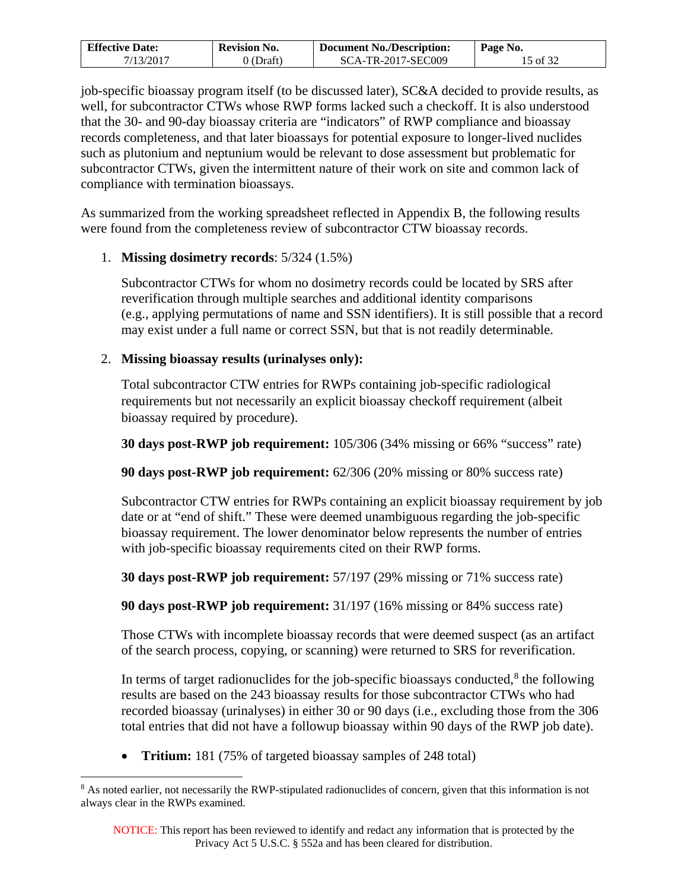| <b>Effective Date:</b> | <b>Revision No.</b> | <b>Document No./Description:</b> | Page No. |
|------------------------|---------------------|----------------------------------|----------|
| 7/13/2017              | (Draft)             | SCA-TR-2017-SEC009               | 15 of 32 |

job-specific bioassay program itself (to be discussed later), SC&A decided to provide results, as well, for subcontractor CTWs whose RWP forms lacked such a checkoff. It is also understood that the 30- and 90-day bioassay criteria are "indicators" of RWP compliance and bioassay records completeness, and that later bioassays for potential exposure to longer-lived nuclides such as plutonium and neptunium would be relevant to dose assessment but problematic for subcontractor CTWs, given the intermittent nature of their work on site and common lack of compliance with termination bioassays.

As summarized from the working spreadsheet reflected in Appendix B, the following results were found from the completeness review of subcontractor CTW bioassay records.

### 1. **Missing dosimetry records**: 5/324 (1.5%)

Subcontractor CTWs for whom no dosimetry records could be located by SRS after reverification through multiple searches and additional identity comparisons (e.g., applying permutations of name and SSN identifiers). It is still possible that a record may exist under a full name or correct SSN, but that is not readily determinable.

### 2. **Missing bioassay results (urinalyses only):**

Total subcontractor CTW entries for RWPs containing job-specific radiological requirements but not necessarily an explicit bioassay checkoff requirement (albeit bioassay required by procedure).

**30 days post-RWP job requirement:** 105/306 (34% missing or 66% "success" rate)

**90 days post-RWP job requirement:** 62/306 (20% missing or 80% success rate)

Subcontractor CTW entries for RWPs containing an explicit bioassay requirement by job date or at "end of shift." These were deemed unambiguous regarding the job-specific bioassay requirement. The lower denominator below represents the number of entries with job-specific bioassay requirements cited on their RWP forms.

**30 days post-RWP job requirement:** 57/197 (29% missing or 71% success rate)

**90 days post-RWP job requirement:** 31/197 (16% missing or 84% success rate)

Those CTWs with incomplete bioassay records that were deemed suspect (as an artifact of the search process, copying, or scanning) were returned to SRS for reverification.

In terms of target radionuclides for the job-specific bioassays conducted, $8$  the following results are based on the 243 bioassay results for those subcontractor CTWs who had recorded bioassay (urinalyses) in either 30 or 90 days (i.e., excluding those from the 306 total entries that did not have a followup bioassay within 90 days of the RWP job date).

• **Tritium:** 181 (75% of targeted bioassay samples of 248 total)

 $\overline{a}$ 

<span id="page-14-0"></span><sup>&</sup>lt;sup>8</sup> As noted earlier, not necessarily the RWP-stipulated radionuclides of concern, given that this information is not always clear in the RWPs examined.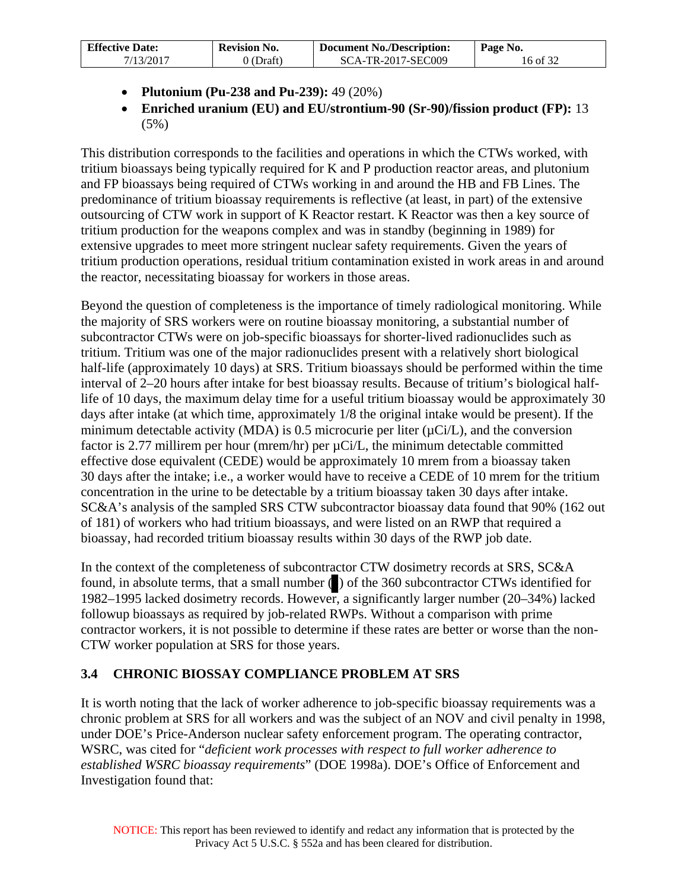| <b>Effective Date:</b> | <b>Revision No.</b> | Document No./Description: | Page No. |
|------------------------|---------------------|---------------------------|----------|
| 7/13/2017              | 0 (Draft)           | SCA-TR-2017-SEC009        | 16 of 32 |

- **Plutonium (Pu-238 and Pu-239):** 49 (20%)
- **Enriched uranium (EU) and EU/strontium-90 (Sr-90)/fission product (FP):** 13 (5%)

This distribution corresponds to the facilities and operations in which the CTWs worked, with tritium bioassays being typically required for K and P production reactor areas, and plutonium and FP bioassays being required of CTWs working in and around the HB and FB Lines. The predominance of tritium bioassay requirements is reflective (at least, in part) of the extensive outsourcing of CTW work in support of K Reactor restart. K Reactor was then a key source of tritium production for the weapons complex and was in standby (beginning in 1989) for extensive upgrades to meet more stringent nuclear safety requirements. Given the years of tritium production operations, residual tritium contamination existed in work areas in and around the reactor, necessitating bioassay for workers in those areas.

Beyond the question of completeness is the importance of timely radiological monitoring. While the majority of SRS workers were on routine bioassay monitoring, a substantial number of subcontractor CTWs were on job-specific bioassays for shorter-lived radionuclides such as tritium. Tritium was one of the major radionuclides present with a relatively short biological half-life (approximately 10 days) at SRS. Tritium bioassays should be performed within the time interval of 2–20 hours after intake for best bioassay results. Because of tritium's biological halflife of 10 days, the maximum delay time for a useful tritium bioassay would be approximately 30 days after intake (at which time, approximately 1/8 the original intake would be present). If the minimum detectable activity (MDA) is 0.5 microcurie per liter  $(\mu Ci/L)$ , and the conversion factor is 2.77 millirem per hour (mrem/hr) per µCi/L, the minimum detectable committed effective dose equivalent (CEDE) would be approximately 10 mrem from a bioassay taken 30 days after the intake; i.e., a worker would have to receive a CEDE of 10 mrem for the tritium concentration in the urine to be detectable by a tritium bioassay taken 30 days after intake. SC&A's analysis of the sampled SRS CTW subcontractor bioassay data found that 90% (162 out of 181) of workers who had tritium bioassays, and were listed on an RWP that required a bioassay, had recorded tritium bioassay results within 30 days of the RWP job date.

In the context of the completeness of subcontractor CTW dosimetry records at SRS, SC&A found, in absolute terms, that a small number ( $\Box$ ) of the 360 subcontractor CTWs identified for 1982–1995 lacked dosimetry records. However, a significantly larger number (20–34%) lacked followup bioassays as required by job-related RWPs. Without a comparison with prime contractor workers, it is not possible to determine if these rates are better or worse than the non-CTW worker population at SRS for those years.

## <span id="page-15-0"></span>**3.4 CHRONIC BIOSSAY COMPLIANCE PROBLEM AT SRS**

It is worth noting that the lack of worker adherence to job-specific bioassay requirements was a chronic problem at SRS for all workers and was the subject of an NOV and civil penalty in 1998, under DOE's Price-Anderson nuclear safety enforcement program. The operating contractor, WSRC, was cited for "*deficient work processes with respect to full worker adherence to established WSRC bioassay requirements*" (DOE 1998a). DOE's Office of Enforcement and Investigation found that: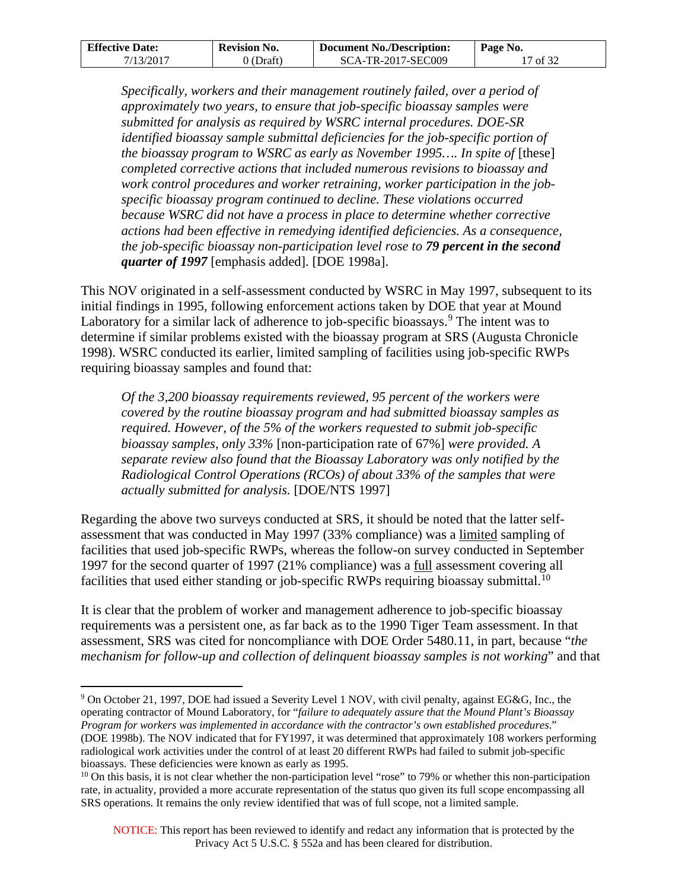| <b>Effective Date:</b> | <b>Revision No.</b> | <b>Document No./Description:</b> | Page No. |
|------------------------|---------------------|----------------------------------|----------|
| 7/13/2017              | 0 (Draft)           | SCA-TR-2017-SEC009               | 17 of 32 |

*Specifically, workers and their management routinely failed, over a period of approximately two years, to ensure that job-specific bioassay samples were submitted for analysis as required by WSRC internal procedures. DOE-SR identified bioassay sample submittal deficiencies for the job-specific portion of the bioassay program to WSRC as early as November 1995.... In spite of* [these] *completed corrective actions that included numerous revisions to bioassay and work control procedures and worker retraining, worker participation in the jobspecific bioassay program continued to decline. These violations occurred because WSRC did not have a process in place to determine whether corrective actions had been effective in remedying identified deficiencies. As a consequence, the job-specific bioassay non-participation level rose to 79 percent in the second quarter of 1997* [emphasis added]. [DOE 1998a].

This NOV originated in a self-assessment conducted by WSRC in May 1997, subsequent to its initial findings in 1995, following enforcement actions taken by DOE that year at Mound Laboratory for a similar lack of adherence to job-specific bioassays.<sup>[9](#page-16-0)</sup> The intent was to determine if similar problems existed with the bioassay program at SRS (Augusta Chronicle 1998). WSRC conducted its earlier, limited sampling of facilities using job-specific RWPs requiring bioassay samples and found that:

*Of the 3,200 bioassay requirements reviewed, 95 percent of the workers were covered by the routine bioassay program and had submitted bioassay samples as required. However, of the 5% of the workers requested to submit job-specific bioassay samples, only 33%* [non-participation rate of 67%] *were provided. A separate review also found that the Bioassay Laboratory was only notified by the Radiological Control Operations (RCOs) of about 33% of the samples that were actually submitted for analysis.* [DOE/NTS 1997]

Regarding the above two surveys conducted at SRS, it should be noted that the latter selfassessment that was conducted in May 1997 (33% compliance) was a limited sampling of facilities that used job-specific RWPs, whereas the follow-on survey conducted in September 1997 for the second quarter of 1997 (21% compliance) was a full assessment covering all facilities that used either standing or job-specific RWPs requiring bioassay submittal.<sup>[10](#page-16-1)</sup>

It is clear that the problem of worker and management adherence to job-specific bioassay requirements was a persistent one, as far back as to the 1990 Tiger Team assessment. In that assessment, SRS was cited for noncompliance with DOE Order 5480.11, in part, because "*the mechanism for follow-up and collection of delinquent bioassay samples is not working*" and that

 $\overline{a}$ 

<span id="page-16-0"></span><sup>9</sup> On October 21, 1997, DOE had issued a Severity Level 1 NOV, with civil penalty, against EG&G, Inc., the operating contractor of Mound Laboratory, for "*failure to adequately assure that the Mound Plant's Bioassay Program for workers was implemented in accordance with the contractor's own established procedures*." (DOE 1998b). The NOV indicated that for FY1997, it was determined that approximately 108 workers performing radiological work activities under the control of at least 20 different RWPs had failed to submit job-specific bioassays. These deficiencies were known as early as 1995.

<span id="page-16-1"></span> $10$  On this basis, it is not clear whether the non-participation level "rose" to 79% or whether this non-participation rate, in actuality, provided a more accurate representation of the status quo given its full scope encompassing all SRS operations. It remains the only review identified that was of full scope, not a limited sample.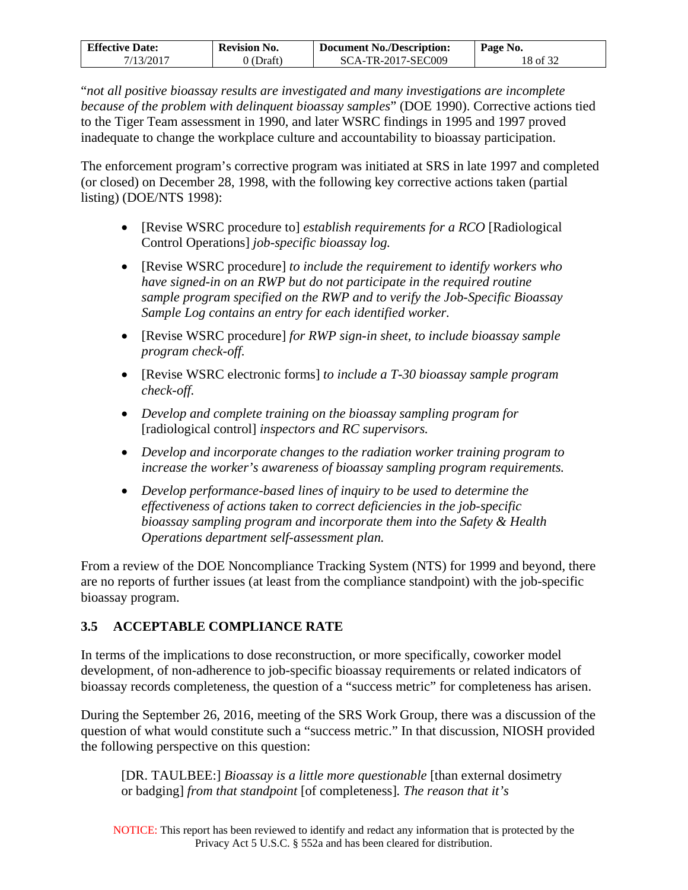| <b>Effective Date:</b> | <b>Revision No.</b> | <b>Document No./Description:</b> | Page No. |
|------------------------|---------------------|----------------------------------|----------|
| 7/13/2017              | 0 (Draft)           | SCA-TR-2017-SEC009               | 18 of 32 |

"*not all positive bioassay results are investigated and many investigations are incomplete because of the problem with delinquent bioassay samples*" (DOE 1990). Corrective actions tied to the Tiger Team assessment in 1990, and later WSRC findings in 1995 and 1997 proved inadequate to change the workplace culture and accountability to bioassay participation.

The enforcement program's corrective program was initiated at SRS in late 1997 and completed (or closed) on December 28, 1998, with the following key corrective actions taken (partial listing) (DOE/NTS 1998):

- [Revise WSRC procedure to] *establish requirements for a RCO* [Radiological Control Operations] *job-specific bioassay log.*
- [Revise WSRC procedure] *to include the requirement to identify workers who have signed-in on an RWP but do not participate in the required routine sample program specified on the RWP and to verify the Job-Specific Bioassay Sample Log contains an entry for each identified worker.*
- [Revise WSRC procedure] *for RWP sign-in sheet, to include bioassay sample program check-off.*
- [Revise WSRC electronic forms] *to include a T-30 bioassay sample program check-off.*
- *Develop and complete training on the bioassay sampling program for*  [radiological control] *inspectors and RC supervisors.*
- *Develop and incorporate changes to the radiation worker training program to increase the worker's awareness of bioassay sampling program requirements.*
- *Develop performance-based lines of inquiry to be used to determine the effectiveness of actions taken to correct deficiencies in the job-specific bioassay sampling program and incorporate them into the Safety & Health Operations department self-assessment plan.*

From a review of the DOE Noncompliance Tracking System (NTS) for 1999 and beyond, there are no reports of further issues (at least from the compliance standpoint) with the job-specific bioassay program.

## <span id="page-17-0"></span>**3.5 ACCEPTABLE COMPLIANCE RATE**

In terms of the implications to dose reconstruction, or more specifically, coworker model development, of non-adherence to job-specific bioassay requirements or related indicators of bioassay records completeness, the question of a "success metric" for completeness has arisen.

During the September 26, 2016, meeting of the SRS Work Group, there was a discussion of the question of what would constitute such a "success metric." In that discussion, NIOSH provided the following perspective on this question:

[DR. TAULBEE:] *Bioassay is a little more questionable* [than external dosimetry or badging] *from that standpoint* [of completeness]*. The reason that it's*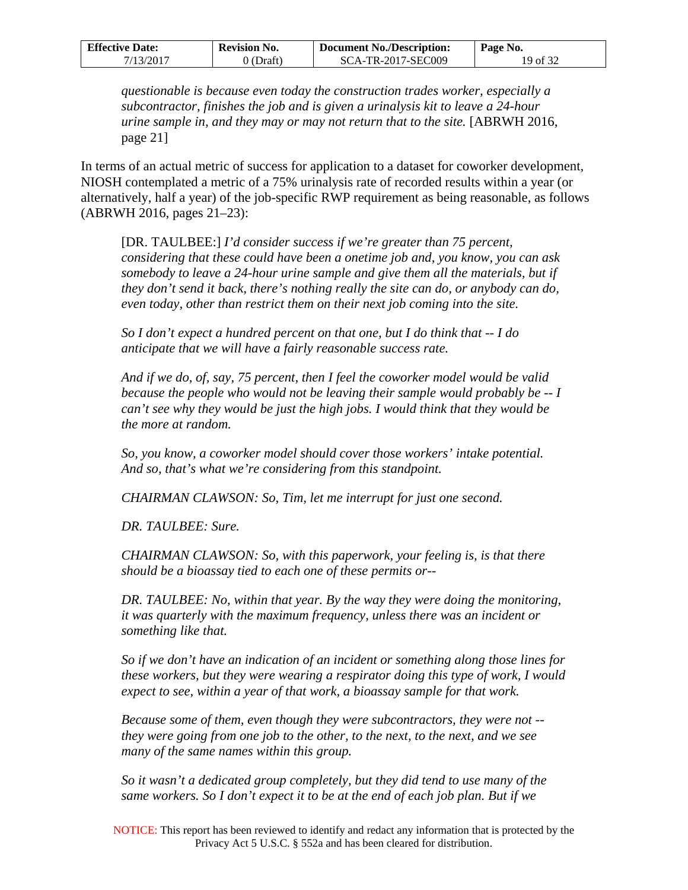| <b>Effective Date:</b> | <b>Revision No.</b>  | <b>Document No./Description:</b> | Page No. |
|------------------------|----------------------|----------------------------------|----------|
| 7/13/2017              | $\mathcal{O}(Draff)$ | SCA-TR-2017-SEC009               | 19 of 32 |

*questionable is because even today the construction trades worker, especially a subcontractor, finishes the job and is given a urinalysis kit to leave a 24-hour urine sample in, and they may or may not return that to the site.* [ABRWH 2016, page 21]

In terms of an actual metric of success for application to a dataset for coworker development, NIOSH contemplated a metric of a 75% urinalysis rate of recorded results within a year (or alternatively, half a year) of the job-specific RWP requirement as being reasonable, as follows (ABRWH 2016, pages 21–23):

[DR. TAULBEE:] *I'd consider success if we're greater than 75 percent, considering that these could have been a onetime job and, you know, you can ask somebody to leave a 24-hour urine sample and give them all the materials, but if they don't send it back, there's nothing really the site can do, or anybody can do, even today, other than restrict them on their next job coming into the site.* 

*So I don't expect a hundred percent on that one, but I do think that -- I do anticipate that we will have a fairly reasonable success rate.* 

*And if we do, of, say, 75 percent, then I feel the coworker model would be valid because the people who would not be leaving their sample would probably be -- I can't see why they would be just the high jobs. I would think that they would be the more at random.* 

*So, you know, a coworker model should cover those workers' intake potential. And so, that's what we're considering from this standpoint.* 

*CHAIRMAN CLAWSON: So, Tim, let me interrupt for just one second.* 

*DR. TAULBEE: Sure.* 

*CHAIRMAN CLAWSON: So, with this paperwork, your feeling is, is that there should be a bioassay tied to each one of these permits or--* 

*DR. TAULBEE: No, within that year. By the way they were doing the monitoring, it was quarterly with the maximum frequency, unless there was an incident or something like that.* 

*So if we don't have an indication of an incident or something along those lines for these workers, but they were wearing a respirator doing this type of work, I would expect to see, within a year of that work, a bioassay sample for that work.* 

*Because some of them, even though they were subcontractors, they were not - they were going from one job to the other, to the next, to the next, and we see many of the same names within this group.* 

*So it wasn't a dedicated group completely, but they did tend to use many of the same workers. So I don't expect it to be at the end of each job plan. But if we*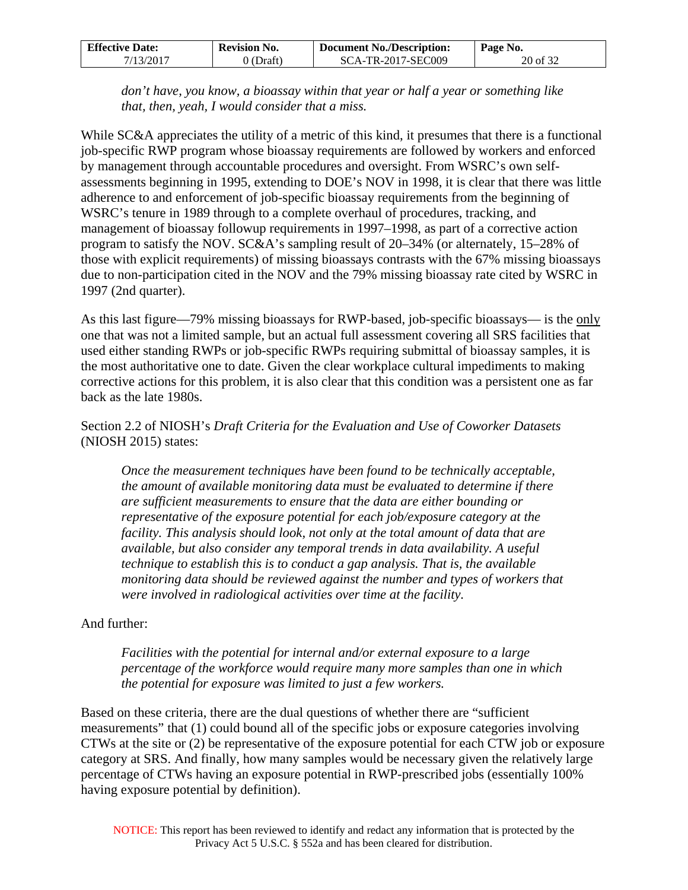| <b>Effective Date:</b> | <b>Revision No.</b> | <b>Document No./Description:</b> | $P$ age No. |
|------------------------|---------------------|----------------------------------|-------------|
| 7/13/2017              | 0 (Draft)           | SCA-TR-2017-SEC009               | 20 of 32    |

*don't have, you know, a bioassay within that year or half a year or something like that, then, yeah, I would consider that a miss.* 

While SC&A appreciates the utility of a metric of this kind, it presumes that there is a functional job-specific RWP program whose bioassay requirements are followed by workers and enforced by management through accountable procedures and oversight. From WSRC's own selfassessments beginning in 1995, extending to DOE's NOV in 1998, it is clear that there was little adherence to and enforcement of job-specific bioassay requirements from the beginning of WSRC's tenure in 1989 through to a complete overhaul of procedures, tracking, and management of bioassay followup requirements in 1997–1998, as part of a corrective action program to satisfy the NOV. SC&A's sampling result of 20–34% (or alternately, 15–28% of those with explicit requirements) of missing bioassays contrasts with the 67% missing bioassays due to non-participation cited in the NOV and the 79% missing bioassay rate cited by WSRC in 1997 (2nd quarter).

As this last figure—79% missing bioassays for RWP-based, job-specific bioassays— is the only one that was not a limited sample, but an actual full assessment covering all SRS facilities that used either standing RWPs or job-specific RWPs requiring submittal of bioassay samples, it is the most authoritative one to date. Given the clear workplace cultural impediments to making corrective actions for this problem, it is also clear that this condition was a persistent one as far back as the late 1980s.

### Section 2.2 of NIOSH's *Draft Criteria for the Evaluation and Use of Coworker Datasets* (NIOSH 2015) states:

*Once the measurement techniques have been found to be technically acceptable, the amount of available monitoring data must be evaluated to determine if there are sufficient measurements to ensure that the data are either bounding or representative of the exposure potential for each job/exposure category at the facility. This analysis should look, not only at the total amount of data that are available, but also consider any temporal trends in data availability. A useful technique to establish this is to conduct a gap analysis. That is, the available monitoring data should be reviewed against the number and types of workers that were involved in radiological activities over time at the facility.* 

### And further:

*Facilities with the potential for internal and/or external exposure to a large percentage of the workforce would require many more samples than one in which the potential for exposure was limited to just a few workers.*

Based on these criteria, there are the dual questions of whether there are "sufficient measurements" that (1) could bound all of the specific jobs or exposure categories involving CTWs at the site or (2) be representative of the exposure potential for each CTW job or exposure category at SRS. And finally, how many samples would be necessary given the relatively large percentage of CTWs having an exposure potential in RWP-prescribed jobs (essentially 100% having exposure potential by definition).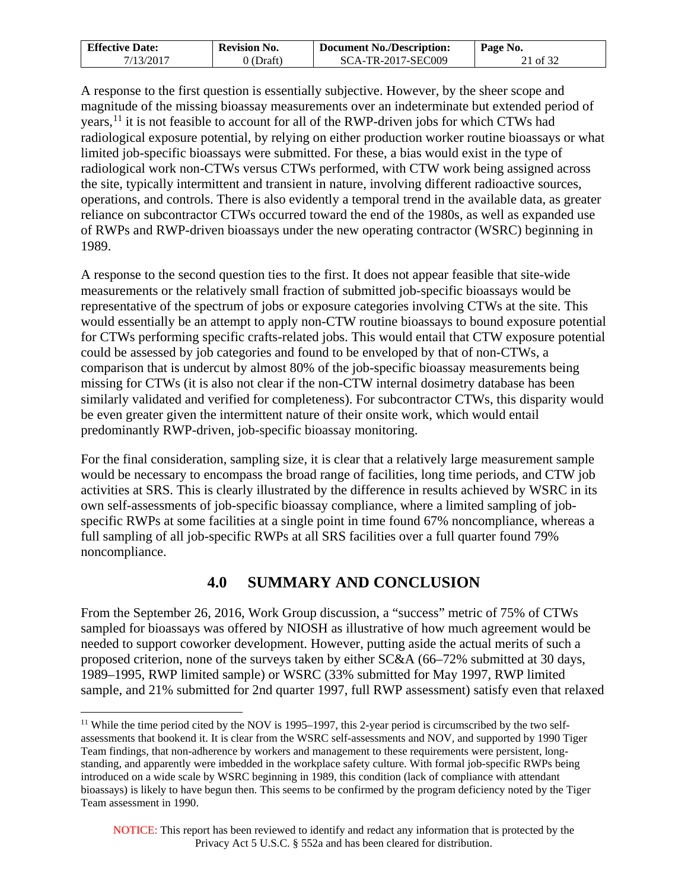| <b>Effective Date:</b> | <b>Revision No.</b> | <b>Document No./Description:</b> | Page No. |
|------------------------|---------------------|----------------------------------|----------|
| 7/13/2017              | 0 (Draft)           | SCA-TR-2017-SEC009               | 21 of 32 |

A response to the first question is essentially subjective. However, by the sheer scope and magnitude of the missing bioassay measurements over an indeterminate but extended period of years,<sup>[11](#page-20-1)</sup> it is not feasible to account for all of the RWP-driven jobs for which CTWs had radiological exposure potential, by relying on either production worker routine bioassays or what limited job-specific bioassays were submitted. For these, a bias would exist in the type of radiological work non-CTWs versus CTWs performed, with CTW work being assigned across the site, typically intermittent and transient in nature, involving different radioactive sources, operations, and controls. There is also evidently a temporal trend in the available data, as greater reliance on subcontractor CTWs occurred toward the end of the 1980s, as well as expanded use of RWPs and RWP-driven bioassays under the new operating contractor (WSRC) beginning in 1989.

A response to the second question ties to the first. It does not appear feasible that site-wide measurements or the relatively small fraction of submitted job-specific bioassays would be representative of the spectrum of jobs or exposure categories involving CTWs at the site. This would essentially be an attempt to apply non-CTW routine bioassays to bound exposure potential for CTWs performing specific crafts-related jobs. This would entail that CTW exposure potential could be assessed by job categories and found to be enveloped by that of non-CTWs, a comparison that is undercut by almost 80% of the job-specific bioassay measurements being missing for CTWs (it is also not clear if the non-CTW internal dosimetry database has been similarly validated and verified for completeness). For subcontractor CTWs, this disparity would be even greater given the intermittent nature of their onsite work, which would entail predominantly RWP-driven, job-specific bioassay monitoring.

For the final consideration, sampling size, it is clear that a relatively large measurement sample would be necessary to encompass the broad range of facilities, long time periods, and CTW job activities at SRS. This is clearly illustrated by the difference in results achieved by WSRC in its own self-assessments of job-specific bioassay compliance, where a limited sampling of jobspecific RWPs at some facilities at a single point in time found 67% noncompliance, whereas a full sampling of all job-specific RWPs at all SRS facilities over a full quarter found 79% noncompliance.

## **4.0 SUMMARY AND CONCLUSION**

<span id="page-20-0"></span>From the September 26, 2016, Work Group discussion, a "success" metric of 75% of CTWs sampled for bioassays was offered by NIOSH as illustrative of how much agreement would be needed to support coworker development. However, putting aside the actual merits of such a proposed criterion, none of the surveys taken by either SC&A (66–72% submitted at 30 days, 1989–1995, RWP limited sample) or WSRC (33% submitted for May 1997, RWP limited sample, and 21% submitted for 2nd quarter 1997, full RWP assessment) satisfy even that relaxed

<span id="page-20-1"></span><sup>&</sup>lt;sup>11</sup> While the time period cited by the NOV is 1995–1997, this 2-year period is circumscribed by the two selfassessments that bookend it. It is clear from the WSRC self-assessments and NOV, and supported by 1990 Tiger Team findings, that non-adherence by workers and management to these requirements were persistent, longstanding, and apparently were imbedded in the workplace safety culture. With formal job-specific RWPs being introduced on a wide scale by WSRC beginning in 1989, this condition (lack of compliance with attendant bioassays) is likely to have begun then. This seems to be confirmed by the program deficiency noted by the Tiger Team assessment in 1990.  $\overline{a}$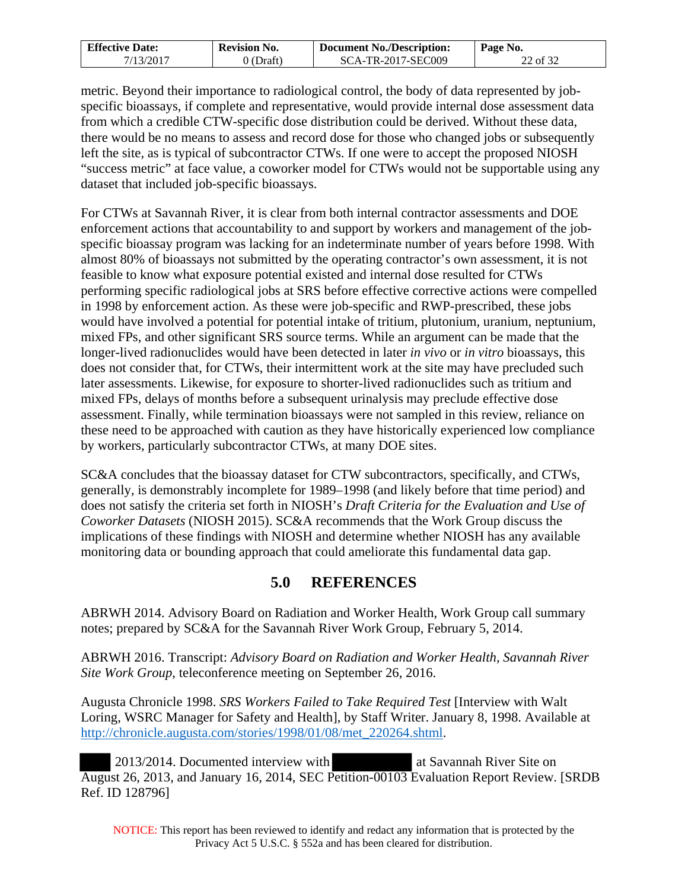| <b>Effective Date:</b> | <b>Revision No.</b> | <b>Document No./Description:</b> | Page No. |
|------------------------|---------------------|----------------------------------|----------|
| 7/13/2017              | ) (Draft)           | SCA-TR-2017-SEC009               | 22 of 32 |

metric. Beyond their importance to radiological control, the body of data represented by jobspecific bioassays, if complete and representative, would provide internal dose assessment data from which a credible CTW-specific dose distribution could be derived. Without these data, there would be no means to assess and record dose for those who changed jobs or subsequently left the site, as is typical of subcontractor CTWs. If one were to accept the proposed NIOSH "success metric" at face value, a coworker model for CTWs would not be supportable using any dataset that included job-specific bioassays.

For CTWs at Savannah River, it is clear from both internal contractor assessments and DOE enforcement actions that accountability to and support by workers and management of the jobspecific bioassay program was lacking for an indeterminate number of years before 1998. With almost 80% of bioassays not submitted by the operating contractor's own assessment, it is not feasible to know what exposure potential existed and internal dose resulted for CTWs performing specific radiological jobs at SRS before effective corrective actions were compelled in 1998 by enforcement action. As these were job-specific and RWP-prescribed, these jobs would have involved a potential for potential intake of tritium, plutonium, uranium, neptunium, mixed FPs, and other significant SRS source terms. While an argument can be made that the longer-lived radionuclides would have been detected in later *in vivo* or *in vitro* bioassays, this does not consider that, for CTWs, their intermittent work at the site may have precluded such later assessments. Likewise, for exposure to shorter-lived radionuclides such as tritium and mixed FPs, delays of months before a subsequent urinalysis may preclude effective dose assessment. Finally, while termination bioassays were not sampled in this review, reliance on these need to be approached with caution as they have historically experienced low compliance by workers, particularly subcontractor CTWs, at many DOE sites.

SC&A concludes that the bioassay dataset for CTW subcontractors, specifically, and CTWs, generally, is demonstrably incomplete for 1989–1998 (and likely before that time period) and does not satisfy the criteria set forth in NIOSH's *Draft Criteria for the Evaluation and Use of Coworker Datasets* (NIOSH 2015). SC&A recommends that the Work Group discuss the implications of these findings with NIOSH and determine whether NIOSH has any available monitoring data or bounding approach that could ameliorate this fundamental data gap.

## **5.0 REFERENCES**

<span id="page-21-0"></span>ABRWH 2014. Advisory Board on Radiation and Worker Health, Work Group call summary notes; prepared by SC&A for the Savannah River Work Group, February 5, 2014.

ABRWH 2016. Transcript: *Advisory Board on Radiation and Worker Health, Savannah River Site Work Group*, teleconference meeting on September 26, 2016.

Augusta Chronicle 1998. *SRS Workers Failed to Take Required Test* [Interview with Walt Loring, WSRC Manager for Safety and Health], by Staff Writer. January 8, 1998. Available at http://chronicle.augusta.com/stories/1998/01/08/met\_220264.shtml.

2013/2014. Documented interview with at Savannah River Site on August 26, 2013, and January 16, 2014, SEC Petition-00103 Evaluation Report Review. [SRDB Ref. ID 128796]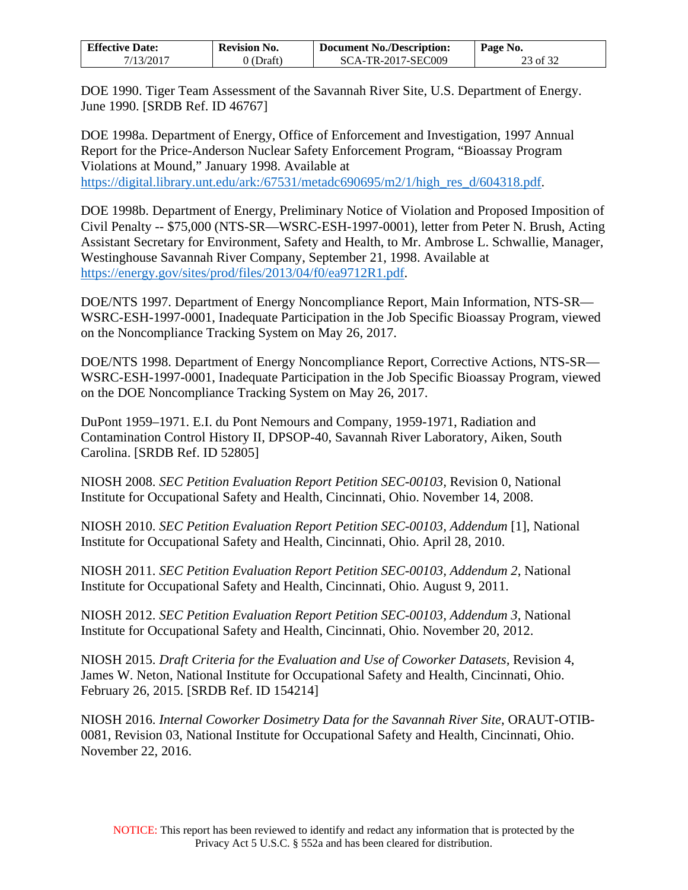| <b>Effective Date:</b> | <b>Revision No.</b> | <b>Document No./Description:</b> | Page No. |
|------------------------|---------------------|----------------------------------|----------|
| 7/13/2017              | 0 (Draft)           | SCA-TR-2017-SEC009               | 23 of 32 |

DOE 1990. Tiger Team Assessment of the Savannah River Site, U.S. Department of Energy. June 1990. [SRDB Ref. ID 46767]

DOE 1998a. Department of Energy, Office of Enforcement and Investigation, 1997 Annual Report for the Price-Anderson Nuclear Safety Enforcement Program, "Bioassay Program Violations at Mound," January 1998. Available at [https://digital.library.unt.edu/ark:/67531/metadc690695/m2/1/high\\_res\\_d/604318.pdf.](https://digital.library.unt.edu/ark:/67531/metadc690695/m2/1/high_res_d/604318.pdf)

DOE 1998b. Department of Energy, Preliminary Notice of Violation and Proposed Imposition of Civil Penalty -- \$75,000 (NTS-SR—WSRC-ESH-1997-0001), letter from Peter N. Brush, Acting Assistant Secretary for Environment, Safety and Health, to Mr. Ambrose L. Schwallie, Manager, Westinghouse Savannah River Company, September 21, 1998. Available at [https://energy.gov/sites/prod/files/2013/04/f0/ea9712R1.pdf.](https://energy.gov/sites/prod/files/2013/04/f0/ea9712R1.pdf)

DOE/NTS 1997. Department of Energy Noncompliance Report, Main Information, NTS-SR— WSRC-ESH-1997-0001, Inadequate Participation in the Job Specific Bioassay Program, viewed on the Noncompliance Tracking System on May 26, 2017.

DOE/NTS 1998. Department of Energy Noncompliance Report, Corrective Actions, NTS-SR— WSRC-ESH-1997-0001, Inadequate Participation in the Job Specific Bioassay Program, viewed on the DOE Noncompliance Tracking System on May 26, 2017.

DuPont 1959–1971. E.I. du Pont Nemours and Company, 1959-1971, Radiation and Contamination Control History II, DPSOP-40, Savannah River Laboratory, Aiken, South Carolina. [SRDB Ref. ID 52805]

NIOSH 2008. *SEC Petition Evaluation Report Petition SEC-00103,* Revision 0, National Institute for Occupational Safety and Health, Cincinnati, Ohio. November 14, 2008.

NIOSH 2010. *SEC Petition Evaluation Report Petition SEC-00103, Addendum* [1], National Institute for Occupational Safety and Health, Cincinnati, Ohio. April 28, 2010.

NIOSH 2011. *SEC Petition Evaluation Report Petition SEC-00103, Addendum 2*, National Institute for Occupational Safety and Health, Cincinnati, Ohio. August 9, 2011.

NIOSH 2012. *SEC Petition Evaluation Report Petition SEC-00103, Addendum 3*, National Institute for Occupational Safety and Health, Cincinnati, Ohio. November 20, 2012.

NIOSH 2015. *Draft Criteria for the Evaluation and Use of Coworker Datasets,* Revision 4, James W. Neton, National Institute for Occupational Safety and Health, Cincinnati, Ohio. February 26, 2015. [SRDB Ref. ID 154214]

NIOSH 2016. *Internal Coworker Dosimetry Data for the Savannah River Site*, ORAUT-OTIB-0081, Revision 03, National Institute for Occupational Safety and Health, Cincinnati, Ohio. November 22, 2016.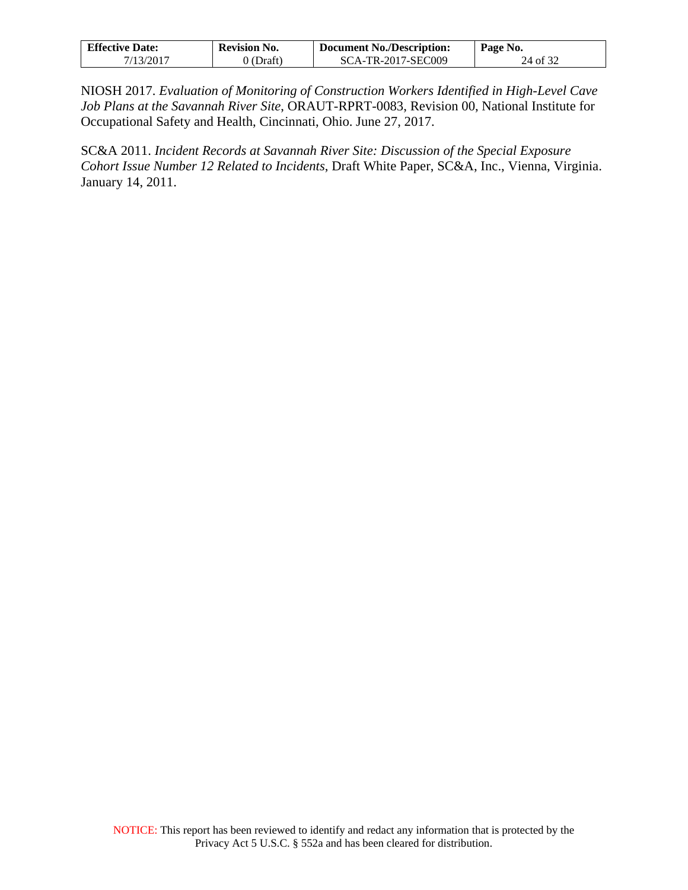| <b>Effective Date:</b> | <b>Revision No.</b> | <b>Document No./Description:</b> | Page No. |
|------------------------|---------------------|----------------------------------|----------|
| 7/13/2017              | (Draft)             | SCA-TR-2017-SEC009               | 24 of 32 |

NIOSH 2017. *Evaluation of Monitoring of Construction Workers Identified in High-Level Cave Job Plans at the Savannah River Site*, ORAUT-RPRT-0083, Revision 00, National Institute for Occupational Safety and Health, Cincinnati, Ohio. June 27, 2017.

SC&A 2011. *Incident Records at Savannah River Site: Discussion of the Special Exposure Cohort Issue Number 12 Related to Incidents*, Draft White Paper, SC&A, Inc., Vienna, Virginia. January 14, 2011.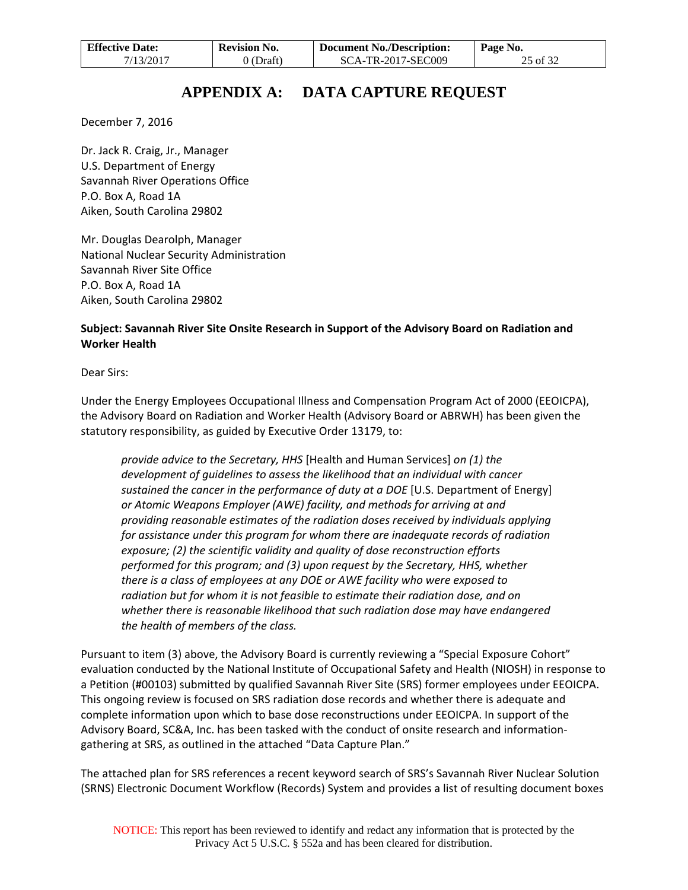| <b>Effective Date:</b> | <b>Revision No.</b> | <b>Document No./Description:</b> | Page No. |
|------------------------|---------------------|----------------------------------|----------|
| 7/13/2017              | $0$ (Draft)         | <b>SCA-TR-2017-SEC009</b>        | 25 of 32 |

# **APPENDIX A: DATA CAPTURE REQUEST**

<span id="page-24-0"></span>December 7, 2016

Dr. Jack R. Craig, Jr., Manager U.S. Department of Energy Savannah River Operations Office P.O. Box A, Road 1A Aiken, South Carolina 29802

Mr. Douglas Dearolph, Manager National Nuclear Security Administration Savannah River Site Office P.O. Box A, Road 1A Aiken, South Carolina 29802

### **Subject: Savannah River Site Onsite Research in Support of the Advisory Board on Radiation and Worker Health**

Dear Sirs:

Under the Energy Employees Occupational Illness and Compensation Program Act of 2000 (EEOICPA), the Advisory Board on Radiation and Worker Health (Advisory Board or ABRWH) has been given the statutory responsibility, as guided by Executive Order 13179, to:

*provide advice to the Secretary, HHS* [Health and Human Services] *on (1) the development of guidelines to assess the likelihood that an individual with cancer sustained the cancer in the performance of duty at a DOE* [U.S. Department of Energy] *or Atomic Weapons Employer (AWE) facility, and methods for arriving at and providing reasonable estimates of the radiation doses received by individuals applying for assistance under this program for whom there are inadequate records of radiation exposure; (2) the scientific validity and quality of dose reconstruction efforts performed for this program; and (3) upon request by the Secretary, HHS, whether there is a class of employees at any DOE or AWE facility who were exposed to radiation but for whom it is not feasible to estimate their radiation dose, and on whether there is reasonable likelihood that such radiation dose may have endangered the health of members of the class.*

Pursuant to item (3) above, the Advisory Board is currently reviewing a "Special Exposure Cohort" evaluation conducted by the National Institute of Occupational Safety and Health (NIOSH) in response to a Petition (#00103) submitted by qualified Savannah River Site (SRS) former employees under EEOICPA. This ongoing review is focused on SRS radiation dose records and whether there is adequate and complete information upon which to base dose reconstructions under EEOICPA. In support of the Advisory Board, SC&A, Inc. has been tasked with the conduct of onsite research and informationgathering at SRS, as outlined in the attached "Data Capture Plan."

The attached plan for SRS references a recent keyword search of SRS's Savannah River Nuclear Solution (SRNS) Electronic Document Workflow (Records) System and provides a list of resulting document boxes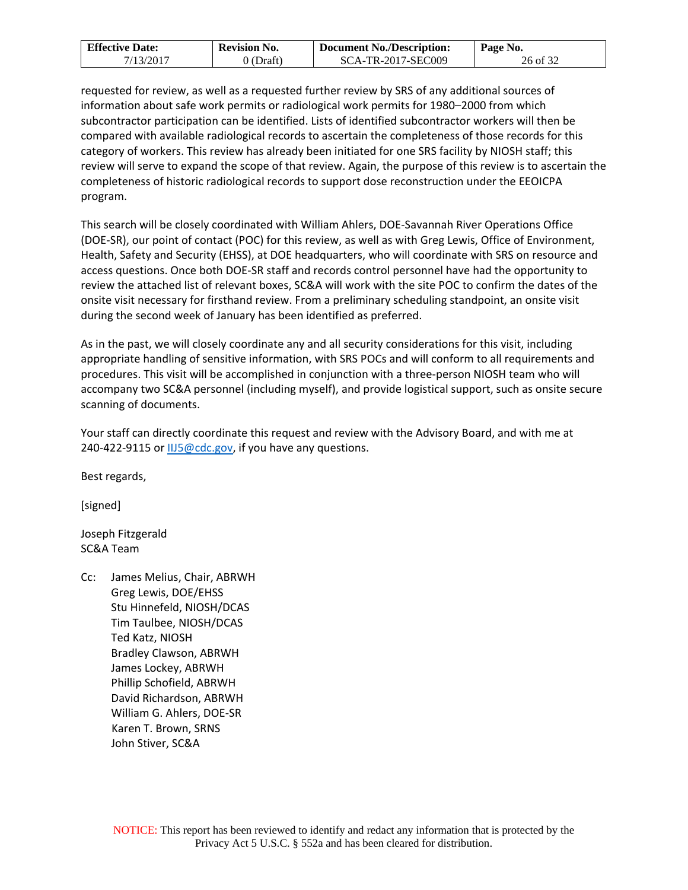| <b>Effective Date:</b> | <b>Revision No.</b> | <b>Document No./Description:</b> | Page No. |
|------------------------|---------------------|----------------------------------|----------|
| 7/13/2017              | 0 (Draft)           | SCA-TR-2017-SEC009               | 26 of 32 |

requested for review, as well as a requested further review by SRS of any additional sources of information about safe work permits or radiological work permits for 1980–2000 from which subcontractor participation can be identified. Lists of identified subcontractor workers will then be compared with available radiological records to ascertain the completeness of those records for this category of workers. This review has already been initiated for one SRS facility by NIOSH staff; this review will serve to expand the scope of that review. Again, the purpose of this review is to ascertain the completeness of historic radiological records to support dose reconstruction under the EEOICPA program.

This search will be closely coordinated with William Ahlers, DOE-Savannah River Operations Office (DOE-SR), our point of contact (POC) for this review, as well as with Greg Lewis, Office of Environment, Health, Safety and Security (EHSS), at DOE headquarters, who will coordinate with SRS on resource and access questions. Once both DOE-SR staff and records control personnel have had the opportunity to review the attached list of relevant boxes, SC&A will work with the site POC to confirm the dates of the onsite visit necessary for firsthand review. From a preliminary scheduling standpoint, an onsite visit during the second week of January has been identified as preferred.

As in the past, we will closely coordinate any and all security considerations for this visit, including appropriate handling of sensitive information, with SRS POCs and will conform to all requirements and procedures. This visit will be accomplished in conjunction with a three-person NIOSH team who will accompany two SC&A personnel (including myself), and provide logistical support, such as onsite secure scanning of documents.

Your staff can directly coordinate this request and review with the Advisory Board, and with me at 240-422-9115 or [IIJ5@cdc.gov,](mailto:IIJ5@cdc.gov) if you have any questions.

Best regards,

[signed]

Joseph Fitzgerald SC&A Team

Cc: James Melius, Chair, ABRWH Greg Lewis, DOE/EHSS Stu Hinnefeld, NIOSH/DCAS Tim Taulbee, NIOSH/DCAS Ted Katz, NIOSH Bradley Clawson, ABRWH James Lockey, ABRWH Phillip Schofield, ABRWH David Richardson, ABRWH William G. Ahlers, DOE-SR Karen T. Brown, SRNS John Stiver, SC&A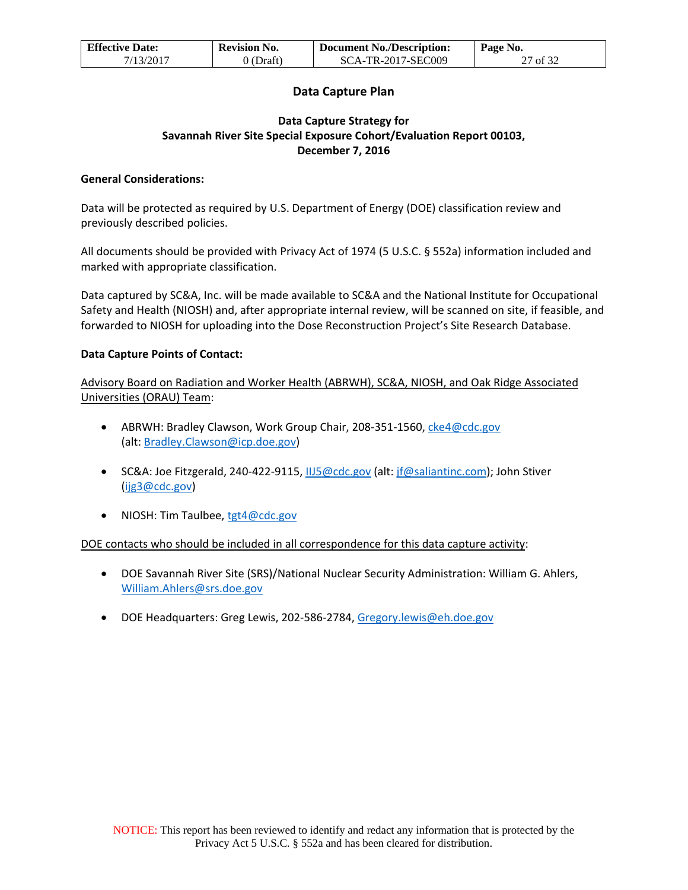| <b>Effective Date:</b> | <b>Revision No.</b> | <b>Document No./Description:</b> | Page No. |
|------------------------|---------------------|----------------------------------|----------|
| 7/13/2017              | (Draft)             | SCA-TR-2017-SEC009               | 27 of 32 |

### **Data Capture Plan**

### **Data Capture Strategy for Savannah River Site Special Exposure Cohort/Evaluation Report 00103, December 7, 2016**

### **General Considerations:**

Data will be protected as required by U.S. Department of Energy (DOE) classification review and previously described policies.

All documents should be provided with Privacy Act of 1974 (5 U.S.C. § 552a) information included and marked with appropriate classification.

Data captured by SC&A, Inc. will be made available to SC&A and the National Institute for Occupational Safety and Health (NIOSH) and, after appropriate internal review, will be scanned on site, if feasible, and forwarded to NIOSH for uploading into the Dose Reconstruction Project's Site Research Database.

#### **Data Capture Points of Contact:**

Advisory Board on Radiation and Worker Health (ABRWH), SC&A, NIOSH, and Oak Ridge Associated Universities (ORAU) Team:

- ABRWH: Bradley Clawson, Work Group Chair, 208-351-1560, [cke4@cdc.gov](mailto:cke4@cdc.gov) (alt: [Bradley.Clawson@icp.doe.gov\)](mailto:Bradley.Clawson@icp.doe.gov)
- SC&A: Joe Fitzgerald, 240-422-9115, [IIJ5@cdc.gov \(](mailto:IIJ5@cdc.gov)alt: [jf@saliantinc.com\)](mailto:jf@saliantinc.com); John Stiver [\(ijg3@cdc.gov\)](mailto:ijg3@cdc.gov)
- NIOSH: Tim Taulbee, [tgt4@cdc.gov](mailto:tgt4@cdc.gov)

### DOE contacts who should be included in all correspondence for this data capture activity:

- DOE Savannah River Site (SRS)/National Nuclear Security Administration: William G. Ahlers, [William.Ahlers@srs.doe.gov](mailto:William.Ahlers@srs.doe.gov)
- DOE Headquarters: Greg Lewis, 202-586-2784, [Gregory.lewis@eh.doe.gov](mailto:Gregory.lewis@eh.doe.gov)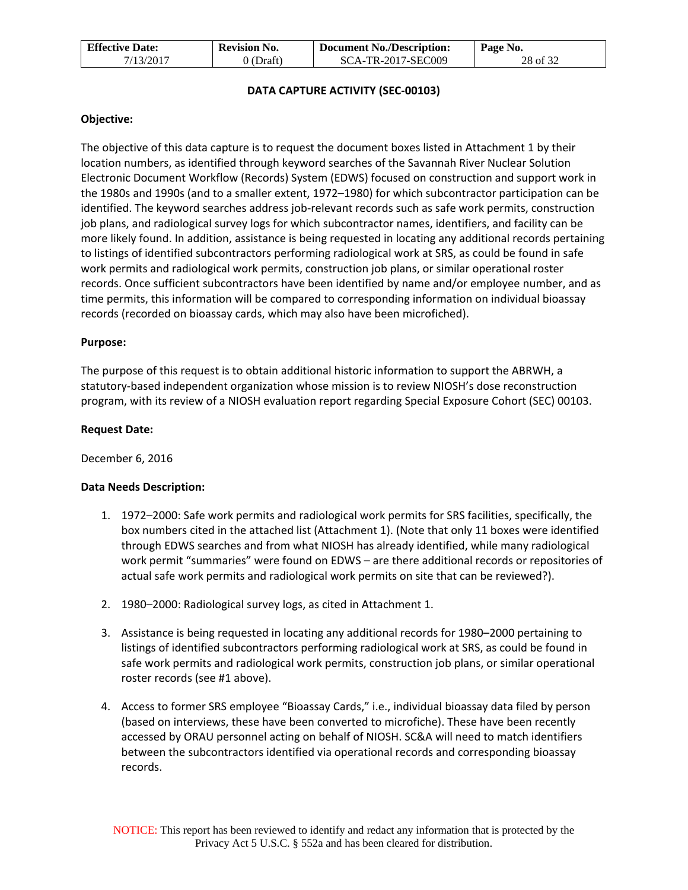| <b>Effective Date:</b> | <b>Revision No.</b> | <b>Document No./Description:</b> | $\mathsf{Page}\ No.$ |
|------------------------|---------------------|----------------------------------|----------------------|
| 7/13/2017              | 9 (Draft)           | SCA-TR-2017-SEC009               | 28 of 32             |

### **DATA CAPTURE ACTIVITY (SEC-00103)**

#### **Objective:**

The objective of this data capture is to request the document boxes listed in Attachment 1 by their location numbers, as identified through keyword searches of the Savannah River Nuclear Solution Electronic Document Workflow (Records) System (EDWS) focused on construction and support work in the 1980s and 1990s (and to a smaller extent, 1972–1980) for which subcontractor participation can be identified. The keyword searches address job-relevant records such as safe work permits, construction job plans, and radiological survey logs for which subcontractor names, identifiers, and facility can be more likely found. In addition, assistance is being requested in locating any additional records pertaining to listings of identified subcontractors performing radiological work at SRS, as could be found in safe work permits and radiological work permits, construction job plans, or similar operational roster records. Once sufficient subcontractors have been identified by name and/or employee number, and as time permits, this information will be compared to corresponding information on individual bioassay records (recorded on bioassay cards, which may also have been microfiched).

#### **Purpose:**

The purpose of this request is to obtain additional historic information to support the ABRWH, a statutory-based independent organization whose mission is to review NIOSH's dose reconstruction program, with its review of a NIOSH evaluation report regarding Special Exposure Cohort (SEC) 00103.

#### **Request Date:**

December 6, 2016

#### **Data Needs Description:**

- 1. 1972–2000: Safe work permits and radiological work permits for SRS facilities, specifically, the box numbers cited in the attached list (Attachment 1). (Note that only 11 boxes were identified through EDWS searches and from what NIOSH has already identified, while many radiological work permit "summaries" were found on EDWS – are there additional records or repositories of actual safe work permits and radiological work permits on site that can be reviewed?).
- 2. 1980–2000: Radiological survey logs, as cited in Attachment 1.
- 3. Assistance is being requested in locating any additional records for 1980–2000 pertaining to listings of identified subcontractors performing radiological work at SRS, as could be found in safe work permits and radiological work permits, construction job plans, or similar operational roster records (see #1 above).
- 4. Access to former SRS employee "Bioassay Cards," i.e., individual bioassay data filed by person (based on interviews, these have been converted to microfiche). These have been recently accessed by ORAU personnel acting on behalf of NIOSH. SC&A will need to match identifiers between the subcontractors identified via operational records and corresponding bioassay records.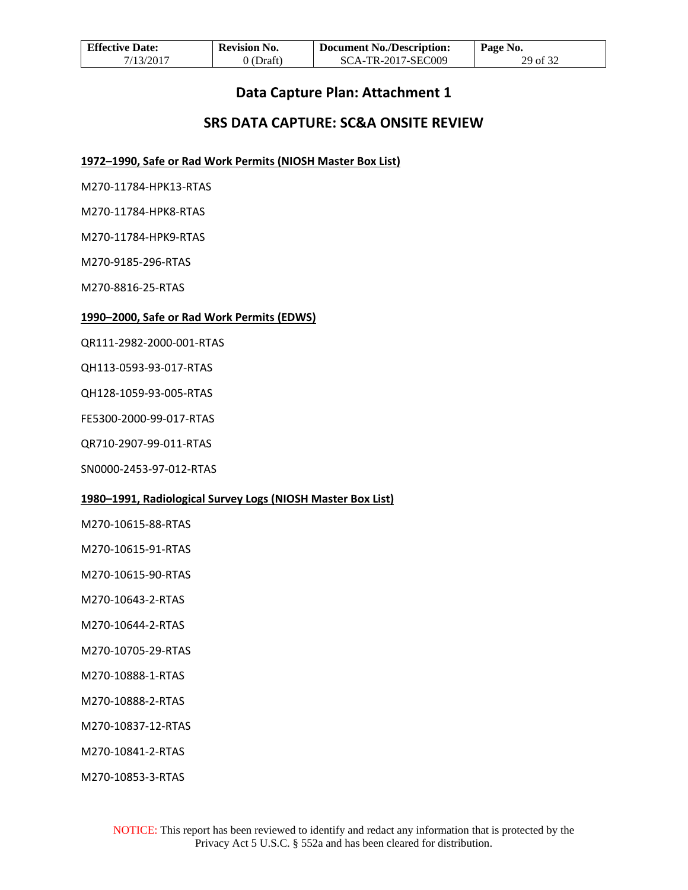| <b>Effective Date:</b> | <b>Revision No.</b> | <b>Document No./Description:</b> | Page No. |
|------------------------|---------------------|----------------------------------|----------|
| 7/13/2017              | 0 (Draft)           | SCA-TR-2017-SEC009               | 29 of 32 |

## **Data Capture Plan: Attachment 1**

## **SRS DATA CAPTURE: SC&A ONSITE REVIEW**

**1972–1990, Safe or Rad Work Permits (NIOSH Master Box List)**

M270-11784-HPK13-RTAS

M270-11784-HPK8-RTAS

M270-11784-HPK9-RTAS

M270-9185-296-RTAS

M270-8816-25-RTAS

#### **1990–2000, Safe or Rad Work Permits (EDWS)**

QR111-2982-2000-001-RTAS

QH113-0593-93-017-RTAS

QH128-1059-93-005-RTAS

FE5300-2000-99-017-RTAS

QR710-2907-99-011-RTAS

SN0000-2453-97-012-RTAS

#### **1980–1991, Radiological Survey Logs (NIOSH Master Box List)**

M270-10615-88-RTAS

M270-10615-91-RTAS

M270-10615-90-RTAS

M270-10643-2-RTAS

M270-10644-2-RTAS

M270-10705-29-RTAS

M270-10888-1-RTAS

M270-10888-2-RTAS

M270-10837-12-RTAS

M270-10841-2-RTAS

M270-10853-3-RTAS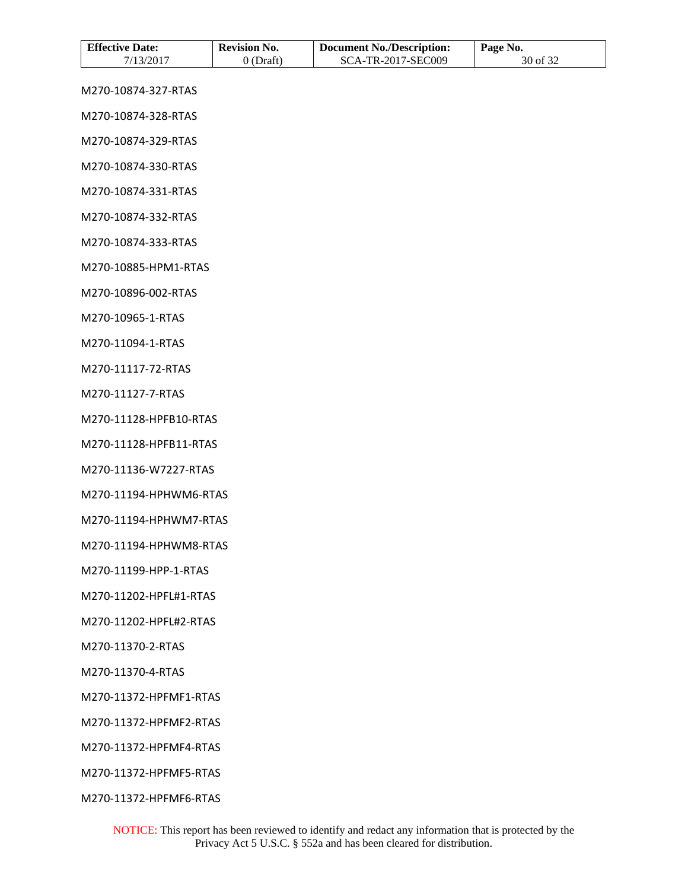| <b>Effective Date:</b> | <b>Revision No.</b> | <b>Document No./Description:</b> | Page No. |
|------------------------|---------------------|----------------------------------|----------|
| 7/13/2017              | $0$ (Draft)         | SCA-TR-2017-SEC009               | 30 of 32 |
| M270-10874-327-RTAS    |                     |                                  |          |
| M270-10874-328-RTAS    |                     |                                  |          |
| M270-10874-329-RTAS    |                     |                                  |          |
| M270-10874-330-RTAS    |                     |                                  |          |
| M270-10874-331-RTAS    |                     |                                  |          |
| M270-10874-332-RTAS    |                     |                                  |          |
| M270-10874-333-RTAS    |                     |                                  |          |
| M270-10885-HPM1-RTAS   |                     |                                  |          |
| M270-10896-002-RTAS    |                     |                                  |          |
| M270-10965-1-RTAS      |                     |                                  |          |
| M270-11094-1-RTAS      |                     |                                  |          |
| M270-11117-72-RTAS     |                     |                                  |          |
| M270-11127-7-RTAS      |                     |                                  |          |
| M270-11128-HPFB10-RTAS |                     |                                  |          |
| M270-11128-HPFB11-RTAS |                     |                                  |          |
| M270-11136-W7227-RTAS  |                     |                                  |          |
| M270-11194-HPHWM6-RTAS |                     |                                  |          |
| M270-11194-HPHWM7-RTAS |                     |                                  |          |
| M270-11194-HPHWM8-RTAS |                     |                                  |          |
| M270-11199-HPP-1-RTAS  |                     |                                  |          |
| M270-11202-HPFL#1-RTAS |                     |                                  |          |
| M270-11202-HPFL#2-RTAS |                     |                                  |          |
| M270-11370-2-RTAS      |                     |                                  |          |
| M270-11370-4-RTAS      |                     |                                  |          |
| M270-11372-HPFMF1-RTAS |                     |                                  |          |
| M270-11372-HPFMF2-RTAS |                     |                                  |          |
| M270-11372-HPFMF4-RTAS |                     |                                  |          |
| M270-11372-HPFMF5-RTAS |                     |                                  |          |

M270-11372-HPFMF6-RTAS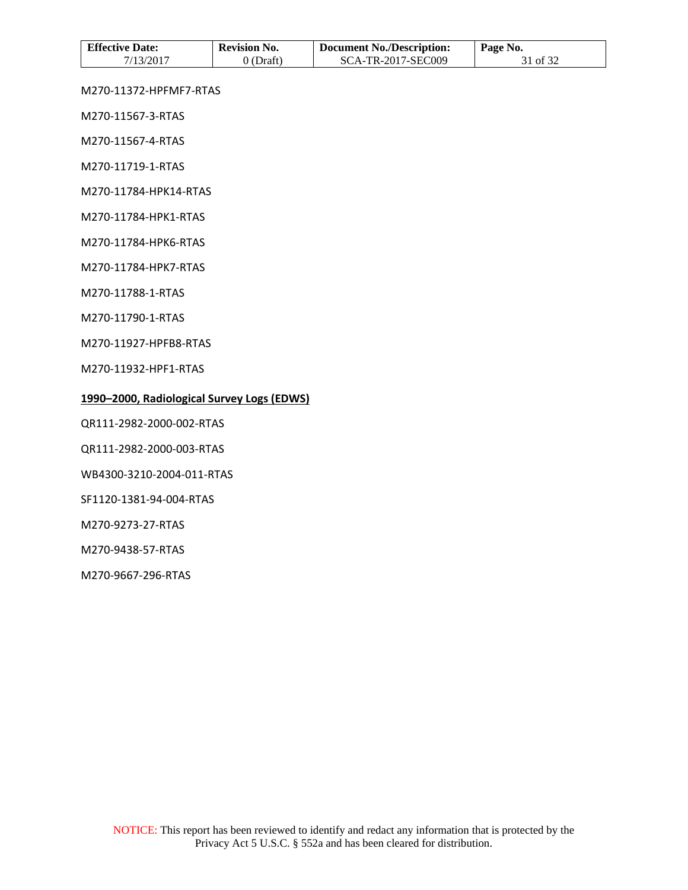| <b>Effective Date:</b> | <b>Revision No.</b> | Document No./Description: | Page No. |
|------------------------|---------------------|---------------------------|----------|
| 7/13/2017              | 0 (Draft)           | SCA-TR-2017-SEC009        | 31 of 32 |

M270-11372-HPFMF7-RTAS

M270-11567-3-RTAS

M270-11567-4-RTAS

M270-11719-1-RTAS

M270-11784-HPK14-RTAS

M270-11784-HPK1-RTAS

M270-11784-HPK6-RTAS

M270-11784-HPK7-RTAS

M270-11788-1-RTAS

M270-11790-1-RTAS

M270-11927-HPFB8-RTAS

M270-11932-HPF1-RTAS

### **1990–2000, Radiological Survey Logs (EDWS)**

QR111-2982-2000-002-RTAS

QR111-2982-2000-003-RTAS

WB4300-3210-2004-011-RTAS

SF1120-1381-94-004-RTAS

M270-9273-27-RTAS

M270-9438-57-RTAS

M270-9667-296-RTAS